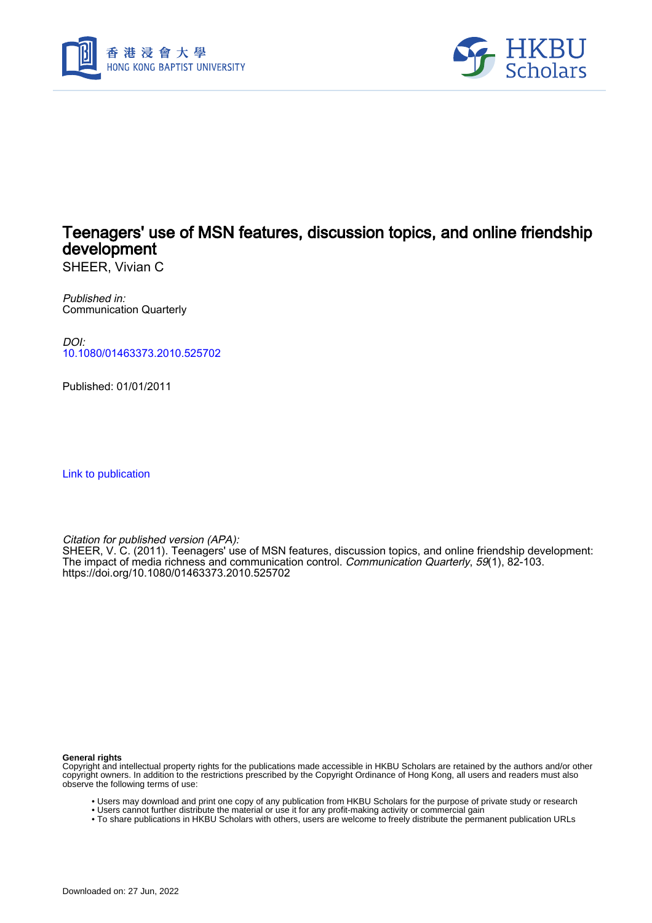



# Teenagers' use of MSN features, discussion topics, and online friendship development

SHEER, Vivian C

Published in: Communication Quarterly

DOI: [10.1080/01463373.2010.525702](https://doi.org/10.1080/01463373.2010.525702)

Published: 01/01/2011

[Link to publication](https://scholars.hkbu.edu.hk/en/publications/daed43df-d584-488f-b8a5-3aa20a901c1e)

Citation for published version (APA):

SHEER, V. C. (2011). Teenagers' use of MSN features, discussion topics, and online friendship development: The impact of media richness and communication control. *Communication Quarterly, 59*(1), 82-103. <https://doi.org/10.1080/01463373.2010.525702>

**General rights**

Copyright and intellectual property rights for the publications made accessible in HKBU Scholars are retained by the authors and/or other copyright owners. In addition to the restrictions prescribed by the Copyright Ordinance of Hong Kong, all users and readers must also observe the following terms of use:

- Users may download and print one copy of any publication from HKBU Scholars for the purpose of private study or research
- Users cannot further distribute the material or use it for any profit-making activity or commercial gain
- To share publications in HKBU Scholars with others, users are welcome to freely distribute the permanent publication URLs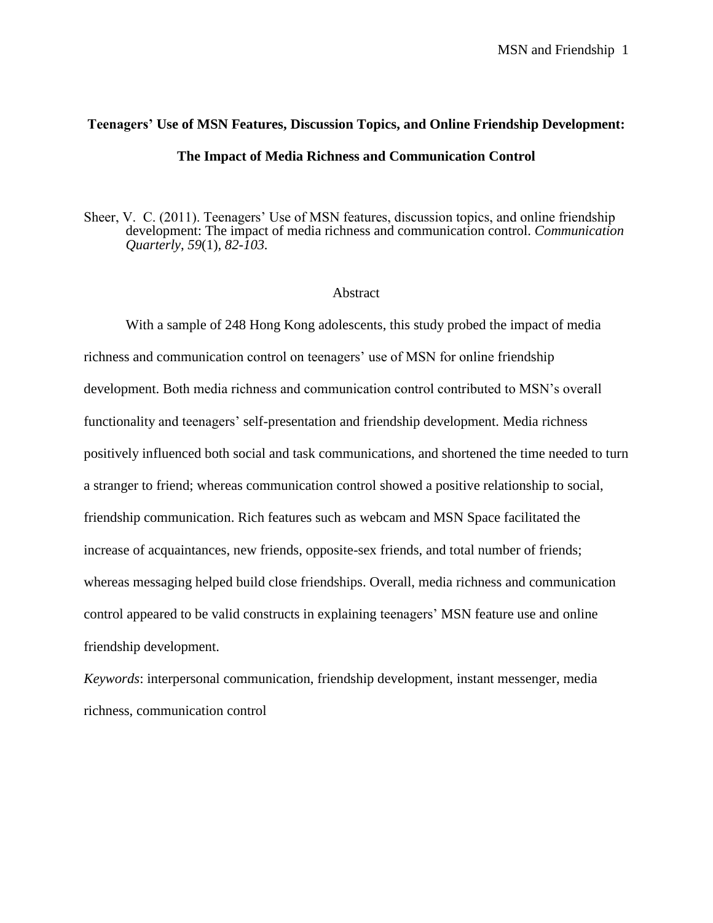# **Teenagers' Use of MSN Features, Discussion Topics, and Online Friendship Development: The Impact of Media Richness and Communication Control**

#### Sheer, V. C. (2011). Teenagers' Use of MSN features, discussion topics, and online friendship development: The impact of media richness and communication control. *Communication Quarterly*, *59*(1)*, 82-103.*

#### Abstract

With a sample of 248 Hong Kong adolescents, this study probed the impact of media richness and communication control on teenagers' use of MSN for online friendship development. Both media richness and communication control contributed to MSN's overall functionality and teenagers' self-presentation and friendship development. Media richness positively influenced both social and task communications, and shortened the time needed to turn a stranger to friend; whereas communication control showed a positive relationship to social, friendship communication. Rich features such as webcam and MSN Space facilitated the increase of acquaintances, new friends, opposite-sex friends, and total number of friends; whereas messaging helped build close friendships. Overall, media richness and communication control appeared to be valid constructs in explaining teenagers' MSN feature use and online friendship development.

*Keywords*: interpersonal communication, friendship development, instant messenger, media richness, communication control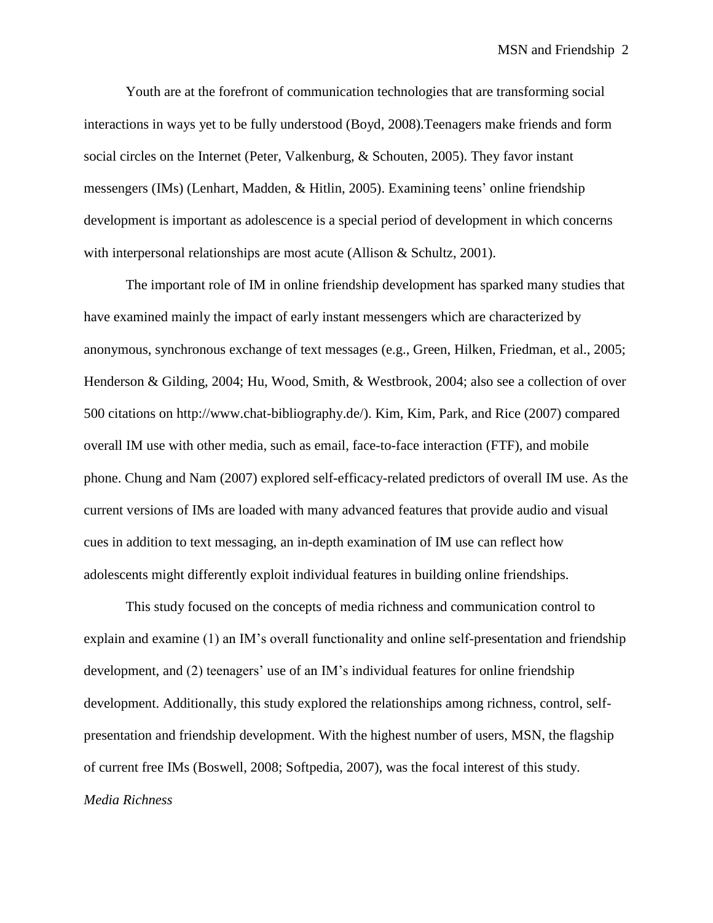Youth are at the forefront of communication technologies that are transforming social interactions in ways yet to be fully understood (Boyd, 2008).Teenagers make friends and form social circles on the Internet (Peter, Valkenburg, & Schouten, 2005). They favor instant messengers (IMs) (Lenhart, Madden, & Hitlin, 2005). Examining teens' online friendship development is important as adolescence is a special period of development in which concerns with interpersonal relationships are most acute (Allison & Schultz, 2001).

The important role of IM in online friendship development has sparked many studies that have examined mainly the impact of early instant messengers which are characterized by anonymous, synchronous exchange of text messages (e.g., Green, Hilken, Friedman, et al., 2005; Henderson & Gilding, 2004; Hu, Wood, Smith, & Westbrook, 2004; also see a collection of over 500 citations on http://www.chat-bibliography.de/). Kim, Kim, Park, and Rice (2007) compared overall IM use with other media, such as email, face-to-face interaction (FTF), and mobile phone. Chung and Nam (2007) explored self-efficacy-related predictors of overall IM use. As the current versions of IMs are loaded with many advanced features that provide audio and visual cues in addition to text messaging, an in-depth examination of IM use can reflect how adolescents might differently exploit individual features in building online friendships.

This study focused on the concepts of media richness and communication control to explain and examine (1) an IM's overall functionality and online self-presentation and friendship development, and (2) teenagers' use of an IM's individual features for online friendship development. Additionally, this study explored the relationships among richness, control, selfpresentation and friendship development. With the highest number of users, MSN, the flagship of current free IMs (Boswell, 2008; Softpedia, 2007), was the focal interest of this study. *Media Richness*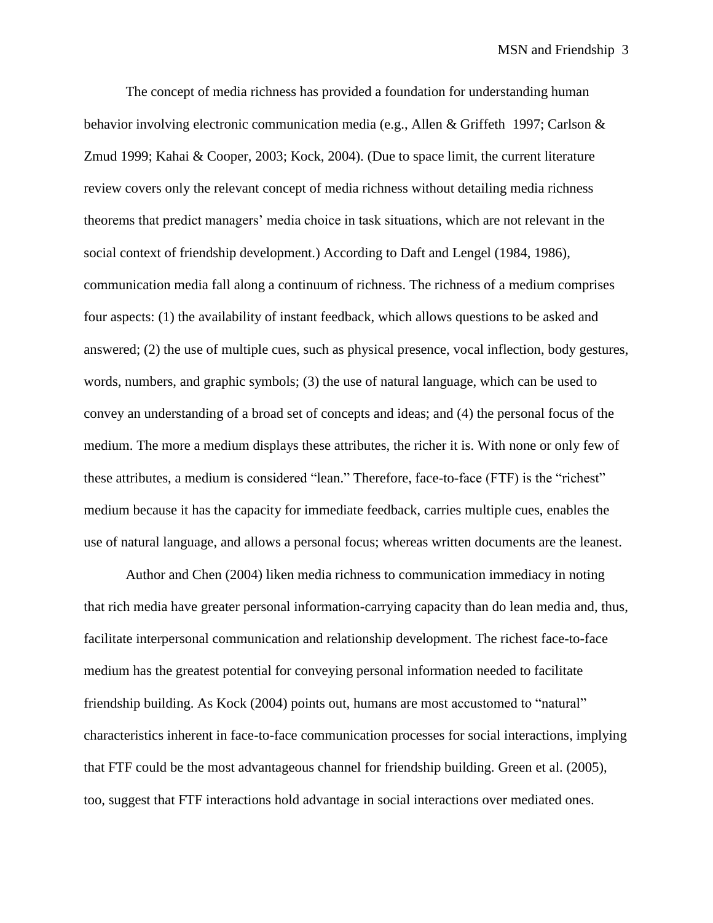The concept of media richness has provided a foundation for understanding human behavior involving electronic communication media (e.g., Allen & Griffeth 1997; Carlson & Zmud 1999; Kahai & Cooper, 2003; Kock, 2004). (Due to space limit, the current literature review covers only the relevant concept of media richness without detailing media richness theorems that predict managers' media choice in task situations, which are not relevant in the social context of friendship development.) According to Daft and Lengel (1984, 1986), communication media fall along a continuum of richness. The richness of a medium comprises four aspects: (1) the availability of instant feedback, which allows questions to be asked and answered; (2) the use of multiple cues, such as physical presence, vocal inflection, body gestures, words, numbers, and graphic symbols; (3) the use of natural language, which can be used to convey an understanding of a broad set of concepts and ideas; and (4) the personal focus of the medium. The more a medium displays these attributes, the richer it is. With none or only few of these attributes, a medium is considered "lean." Therefore, face-to-face (FTF) is the "richest" medium because it has the capacity for immediate feedback, carries multiple cues, enables the use of natural language, and allows a personal focus; whereas written documents are the leanest.

Author and Chen (2004) liken media richness to communication immediacy in noting that rich media have greater personal information-carrying capacity than do lean media and, thus, facilitate interpersonal communication and relationship development. The richest face-to-face medium has the greatest potential for conveying personal information needed to facilitate friendship building. As Kock (2004) points out, humans are most accustomed to "natural" characteristics inherent in face-to-face communication processes for social interactions, implying that FTF could be the most advantageous channel for friendship building. Green et al. (2005), too, suggest that FTF interactions hold advantage in social interactions over mediated ones.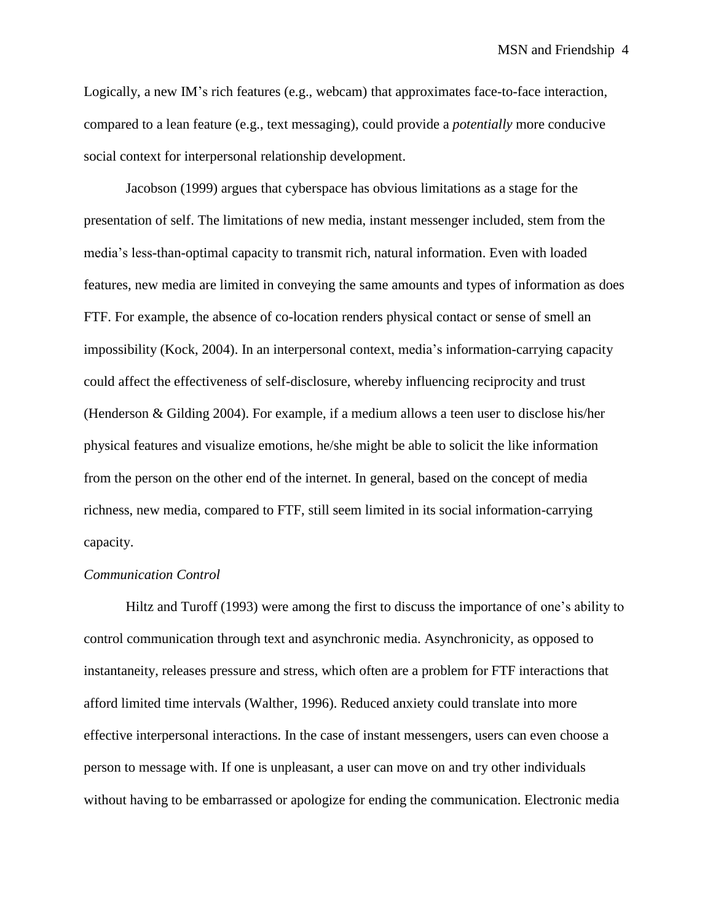Logically, a new IM's rich features (e.g., webcam) that approximates face-to-face interaction, compared to a lean feature (e.g., text messaging), could provide a *potentially* more conducive social context for interpersonal relationship development.

Jacobson (1999) argues that cyberspace has obvious limitations as a stage for the presentation of self. The limitations of new media, instant messenger included, stem from the media's less-than-optimal capacity to transmit rich, natural information. Even with loaded features, new media are limited in conveying the same amounts and types of information as does FTF. For example, the absence of co-location renders physical contact or sense of smell an impossibility (Kock, 2004). In an interpersonal context, media's information-carrying capacity could affect the effectiveness of self-disclosure, whereby influencing reciprocity and trust (Henderson & Gilding 2004). For example, if a medium allows a teen user to disclose his/her physical features and visualize emotions, he/she might be able to solicit the like information from the person on the other end of the internet. In general, based on the concept of media richness, new media, compared to FTF, still seem limited in its social information-carrying capacity.

#### *Communication Control*

Hiltz and Turoff (1993) were among the first to discuss the importance of one's ability to control communication through text and asynchronic media. Asynchronicity, as opposed to instantaneity, releases pressure and stress, which often are a problem for FTF interactions that afford limited time intervals (Walther, 1996). Reduced anxiety could translate into more effective interpersonal interactions. In the case of instant messengers, users can even choose a person to message with. If one is unpleasant, a user can move on and try other individuals without having to be embarrassed or apologize for ending the communication. Electronic media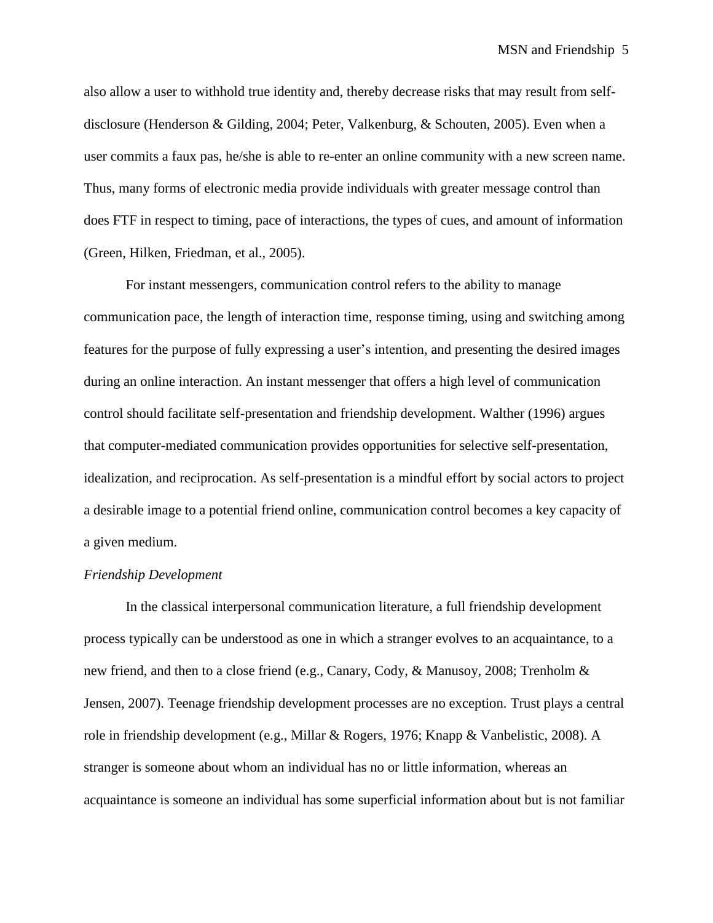also allow a user to withhold true identity and, thereby decrease risks that may result from selfdisclosure (Henderson & Gilding, 2004; Peter, Valkenburg, & Schouten, 2005). Even when a user commits a faux pas, he/she is able to re-enter an online community with a new screen name. Thus, many forms of electronic media provide individuals with greater message control than does FTF in respect to timing, pace of interactions, the types of cues, and amount of information (Green, Hilken, Friedman, et al., 2005).

For instant messengers, communication control refers to the ability to manage communication pace, the length of interaction time, response timing, using and switching among features for the purpose of fully expressing a user's intention, and presenting the desired images during an online interaction. An instant messenger that offers a high level of communication control should facilitate self-presentation and friendship development. Walther (1996) argues that computer-mediated communication provides opportunities for selective self-presentation, idealization, and reciprocation. As self-presentation is a mindful effort by social actors to project a desirable image to a potential friend online, communication control becomes a key capacity of a given medium.

#### *Friendship Development*

In the classical interpersonal communication literature, a full friendship development process typically can be understood as one in which a stranger evolves to an acquaintance, to a new friend, and then to a close friend (e.g., Canary, Cody, & Manusoy, 2008; Trenholm & Jensen, 2007). Teenage friendship development processes are no exception. Trust plays a central role in friendship development (e.g., Millar & Rogers, 1976; Knapp & Vanbelistic, 2008). A stranger is someone about whom an individual has no or little information, whereas an acquaintance is someone an individual has some superficial information about but is not familiar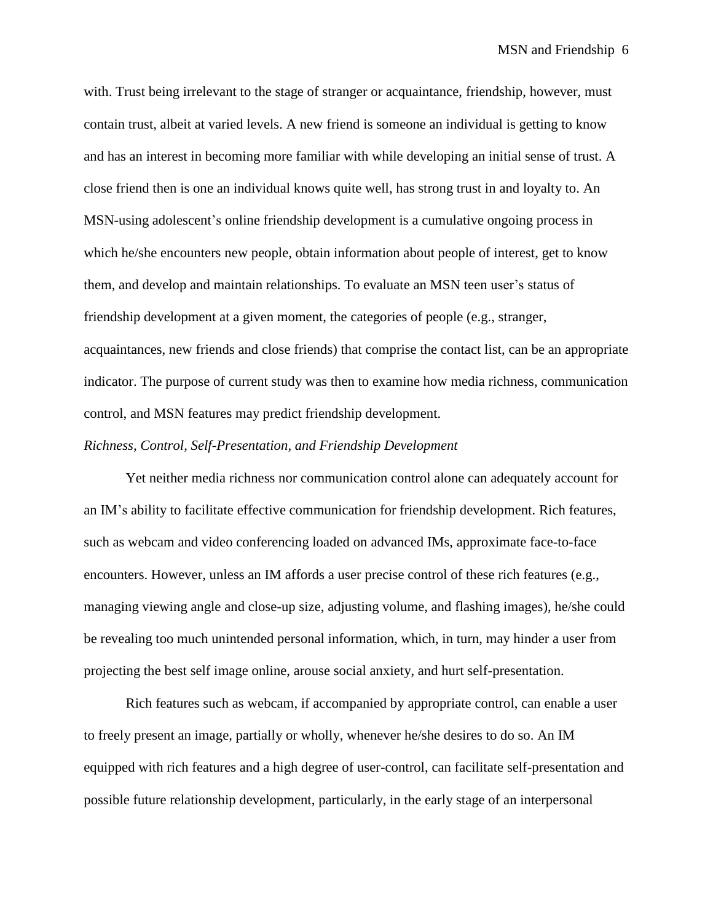with. Trust being irrelevant to the stage of stranger or acquaintance, friendship, however, must contain trust, albeit at varied levels. A new friend is someone an individual is getting to know and has an interest in becoming more familiar with while developing an initial sense of trust. A close friend then is one an individual knows quite well, has strong trust in and loyalty to. An MSN-using adolescent's online friendship development is a cumulative ongoing process in which he/she encounters new people, obtain information about people of interest, get to know them, and develop and maintain relationships. To evaluate an MSN teen user's status of friendship development at a given moment, the categories of people (e.g., stranger, acquaintances, new friends and close friends) that comprise the contact list, can be an appropriate indicator. The purpose of current study was then to examine how media richness, communication control, and MSN features may predict friendship development.

#### *Richness, Control, Self-Presentation, and Friendship Development*

Yet neither media richness nor communication control alone can adequately account for an IM's ability to facilitate effective communication for friendship development. Rich features, such as webcam and video conferencing loaded on advanced IMs, approximate face-to-face encounters. However, unless an IM affords a user precise control of these rich features (e.g., managing viewing angle and close-up size, adjusting volume, and flashing images), he/she could be revealing too much unintended personal information, which, in turn, may hinder a user from projecting the best self image online, arouse social anxiety, and hurt self-presentation.

Rich features such as webcam, if accompanied by appropriate control, can enable a user to freely present an image, partially or wholly, whenever he/she desires to do so. An IM equipped with rich features and a high degree of user-control, can facilitate self-presentation and possible future relationship development, particularly, in the early stage of an interpersonal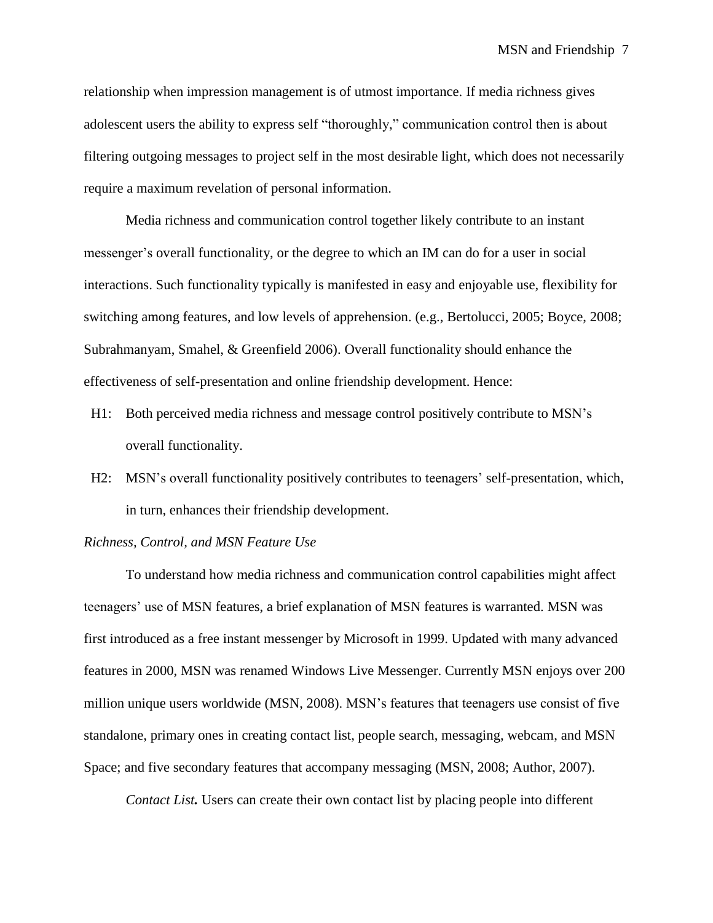relationship when impression management is of utmost importance. If media richness gives adolescent users the ability to express self "thoroughly," communication control then is about filtering outgoing messages to project self in the most desirable light, which does not necessarily require a maximum revelation of personal information.

Media richness and communication control together likely contribute to an instant messenger's overall functionality, or the degree to which an IM can do for a user in social interactions. Such functionality typically is manifested in easy and enjoyable use, flexibility for switching among features, and low levels of apprehension. (e.g., Bertolucci, 2005; Boyce, 2008; Subrahmanyam, Smahel, & Greenfield 2006). Overall functionality should enhance the effectiveness of self-presentation and online friendship development. Hence:

- H1: Both perceived media richness and message control positively contribute to MSN's overall functionality.
- H2: MSN's overall functionality positively contributes to teenagers' self-presentation, which, in turn, enhances their friendship development.

#### *Richness, Control, and MSN Feature Use*

To understand how media richness and communication control capabilities might affect teenagers' use of MSN features, a brief explanation of MSN features is warranted. MSN was first introduced as a free instant messenger by Microsoft in 1999. Updated with many advanced features in 2000, MSN was renamed Windows Live Messenger. Currently MSN enjoys over 200 million unique users worldwide (MSN, 2008). MSN's features that teenagers use consist of five standalone, primary ones in creating contact list, people search, messaging, webcam, and MSN Space; and five secondary features that accompany messaging (MSN, 2008; Author, 2007).

*Contact List.* Users can create their own contact list by placing people into different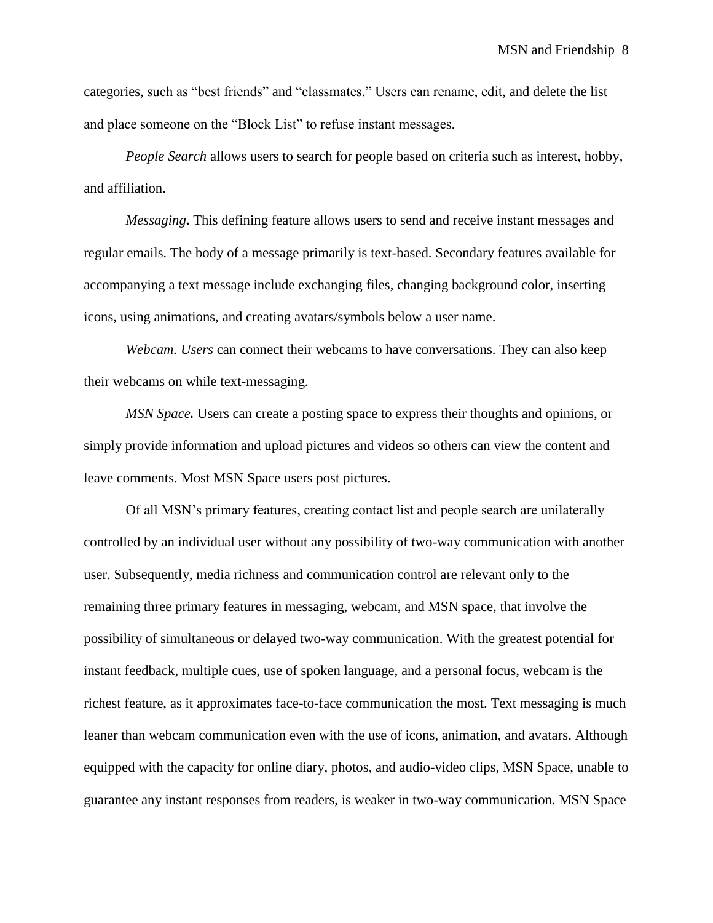categories, such as "best friends" and "classmates." Users can rename, edit, and delete the list and place someone on the "Block List" to refuse instant messages.

*People Search* allows users to search for people based on criteria such as interest, hobby, and affiliation.

*Messaging***.** This defining feature allows users to send and receive instant messages and regular emails. The body of a message primarily is text-based. Secondary features available for accompanying a text message include exchanging files, changing background color, inserting icons, using animations, and creating avatars/symbols below a user name.

*Webcam. Users* can connect their webcams to have conversations. They can also keep their webcams on while text-messaging.

*MSN Space.* Users can create a posting space to express their thoughts and opinions, or simply provide information and upload pictures and videos so others can view the content and leave comments. Most MSN Space users post pictures.

Of all MSN's primary features, creating contact list and people search are unilaterally controlled by an individual user without any possibility of two-way communication with another user. Subsequently, media richness and communication control are relevant only to the remaining three primary features in messaging, webcam, and MSN space, that involve the possibility of simultaneous or delayed two-way communication. With the greatest potential for instant feedback, multiple cues, use of spoken language, and a personal focus, webcam is the richest feature, as it approximates face-to-face communication the most. Text messaging is much leaner than webcam communication even with the use of icons, animation, and avatars. Although equipped with the capacity for online diary, photos, and audio-video clips, MSN Space, unable to guarantee any instant responses from readers, is weaker in two-way communication. MSN Space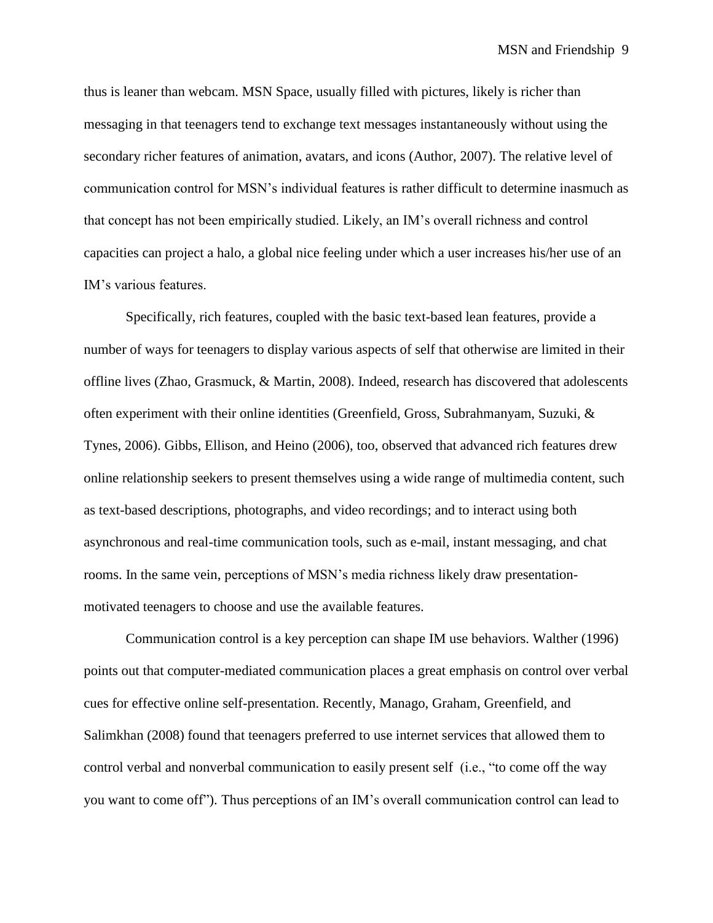thus is leaner than webcam. MSN Space, usually filled with pictures, likely is richer than messaging in that teenagers tend to exchange text messages instantaneously without using the secondary richer features of animation, avatars, and icons (Author, 2007). The relative level of communication control for MSN's individual features is rather difficult to determine inasmuch as that concept has not been empirically studied. Likely, an IM's overall richness and control capacities can project a halo, a global nice feeling under which a user increases his/her use of an IM's various features.

Specifically, rich features, coupled with the basic text-based lean features, provide a number of ways for teenagers to display various aspects of self that otherwise are limited in their offline lives (Zhao, Grasmuck, & Martin, 2008). Indeed, research has discovered that adolescents often experiment with their online identities (Greenfield, Gross, Subrahmanyam, Suzuki, & Tynes, 2006). Gibbs, Ellison, and Heino (2006), too, observed that advanced rich features drew online relationship seekers to present themselves using a wide range of multimedia content, such as text-based descriptions, photographs, and video recordings; and to interact using both asynchronous and real-time communication tools, such as e-mail, instant messaging, and chat rooms. In the same vein, perceptions of MSN's media richness likely draw presentationmotivated teenagers to choose and use the available features.

Communication control is a key perception can shape IM use behaviors. Walther (1996) points out that computer-mediated communication places a great emphasis on control over verbal cues for effective online self-presentation. Recently, Manago, Graham, Greenfield, and Salimkhan (2008) found that teenagers preferred to use internet services that allowed them to control verbal and nonverbal communication to easily present self (i.e., "to come off the way you want to come off"). Thus perceptions of an IM's overall communication control can lead to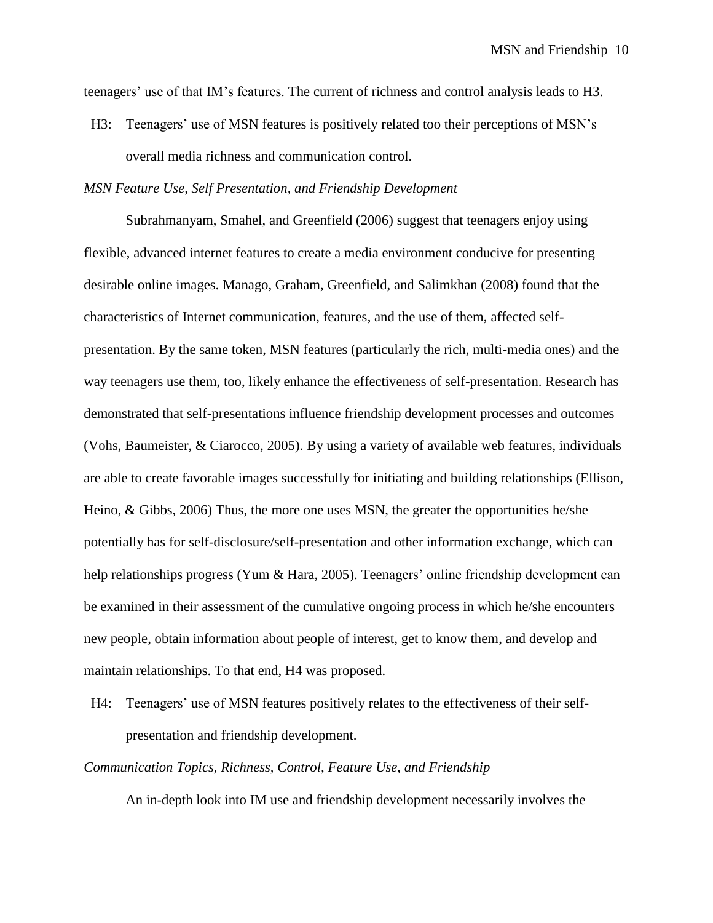teenagers' use of that IM's features. The current of richness and control analysis leads to H3.

 H3: Teenagers' use of MSN features is positively related too their perceptions of MSN's overall media richness and communication control.

#### *MSN Feature Use, Self Presentation, and Friendship Development*

Subrahmanyam, Smahel, and Greenfield (2006) suggest that teenagers enjoy using flexible, advanced internet features to create a media environment conducive for presenting desirable online images. Manago, Graham, Greenfield, and Salimkhan (2008) found that the characteristics of Internet communication, features, and the use of them, affected selfpresentation. By the same token, MSN features (particularly the rich, multi-media ones) and the way teenagers use them, too, likely enhance the effectiveness of self-presentation. Research has demonstrated that self-presentations influence friendship development processes and outcomes (Vohs, Baumeister, & Ciarocco, 2005). By using a variety of available web features, individuals are able to create favorable images successfully for initiating and building relationships (Ellison, Heino, & Gibbs, 2006) Thus, the more one uses MSN, the greater the opportunities he/she potentially has for self-disclosure/self-presentation and other information exchange, which can help relationships progress (Yum & Hara, 2005). Teenagers' online friendship development can be examined in their assessment of the cumulative ongoing process in which he/she encounters new people, obtain information about people of interest, get to know them, and develop and maintain relationships. To that end, H4 was proposed.

 H4: Teenagers' use of MSN features positively relates to the effectiveness of their selfpresentation and friendship development.

#### *Communication Topics, Richness, Control, Feature Use, and Friendship*

An in-depth look into IM use and friendship development necessarily involves the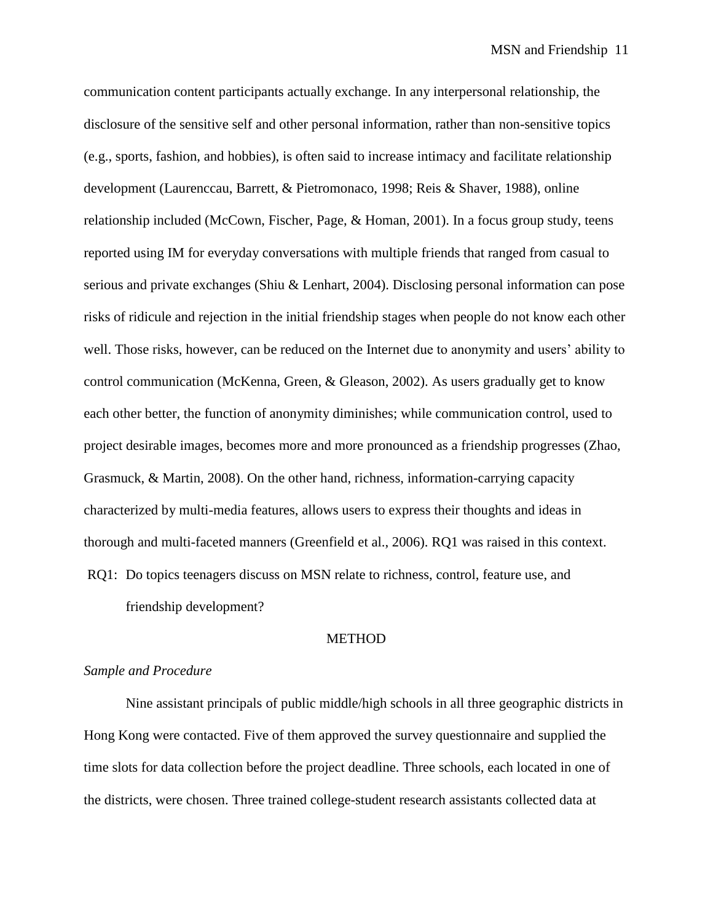communication content participants actually exchange. In any interpersonal relationship, the disclosure of the sensitive self and other personal information, rather than non-sensitive topics (e.g., sports, fashion, and hobbies), is often said to increase intimacy and facilitate relationship development (Laurenccau, Barrett, & Pietromonaco, 1998; Reis & Shaver, 1988), online relationship included (McCown, Fischer, Page, & Homan, 2001). In a focus group study, teens reported using IM for everyday conversations with multiple friends that ranged from casual to serious and private exchanges (Shiu & Lenhart, 2004). Disclosing personal information can pose risks of ridicule and rejection in the initial friendship stages when people do not know each other well. Those risks, however, can be reduced on the Internet due to anonymity and users' ability to control communication (McKenna, Green, & Gleason, 2002). As users gradually get to know each other better, the function of anonymity diminishes; while communication control, used to project desirable images, becomes more and more pronounced as a friendship progresses (Zhao, Grasmuck, & Martin, 2008). On the other hand, richness, information-carrying capacity characterized by multi-media features, allows users to express their thoughts and ideas in thorough and multi-faceted manners (Greenfield et al., 2006). RQ1 was raised in this context. RQ1: Do topics teenagers discuss on MSN relate to richness, control, feature use, and

friendship development?

#### METHOD

#### *Sample and Procedure*

Nine assistant principals of public middle/high schools in all three geographic districts in Hong Kong were contacted. Five of them approved the survey questionnaire and supplied the time slots for data collection before the project deadline. Three schools, each located in one of the districts, were chosen. Three trained college-student research assistants collected data at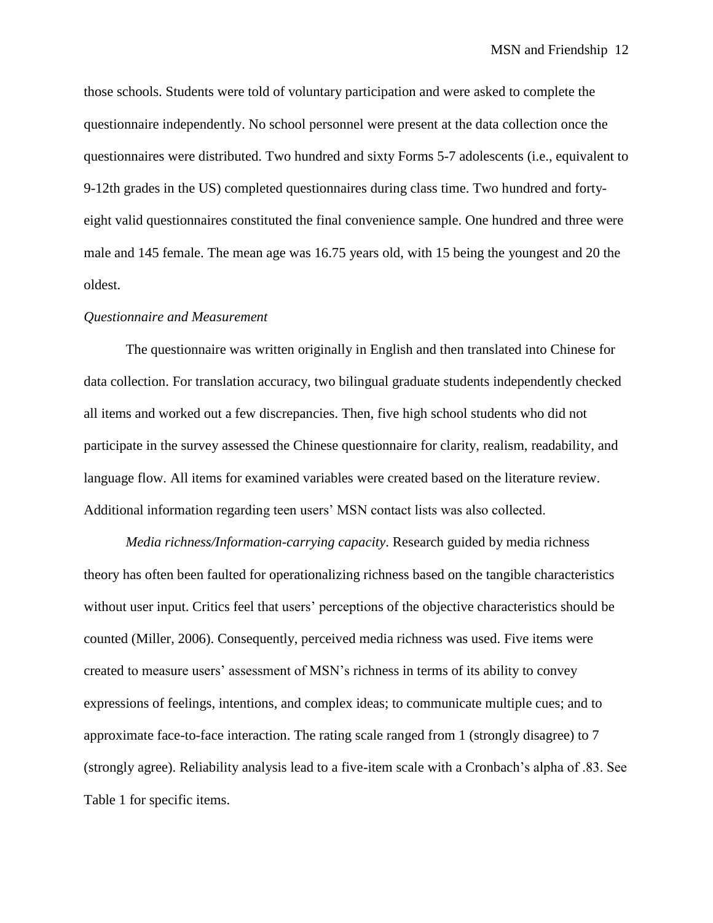those schools. Students were told of voluntary participation and were asked to complete the questionnaire independently. No school personnel were present at the data collection once the questionnaires were distributed. Two hundred and sixty Forms 5-7 adolescents (i.e., equivalent to 9-12th grades in the US) completed questionnaires during class time. Two hundred and fortyeight valid questionnaires constituted the final convenience sample. One hundred and three were male and 145 female. The mean age was 16.75 years old, with 15 being the youngest and 20 the oldest.

#### *Questionnaire and Measurement*

The questionnaire was written originally in English and then translated into Chinese for data collection. For translation accuracy, two bilingual graduate students independently checked all items and worked out a few discrepancies. Then, five high school students who did not participate in the survey assessed the Chinese questionnaire for clarity, realism, readability, and language flow. All items for examined variables were created based on the literature review. Additional information regarding teen users' MSN contact lists was also collected.

*Media richness/Information-carrying capacity*. Research guided by media richness theory has often been faulted for operationalizing richness based on the tangible characteristics without user input. Critics feel that users' perceptions of the objective characteristics should be counted (Miller, 2006). Consequently, perceived media richness was used. Five items were created to measure users' assessment of MSN's richness in terms of its ability to convey expressions of feelings, intentions, and complex ideas; to communicate multiple cues; and to approximate face-to-face interaction. The rating scale ranged from 1 (strongly disagree) to 7 (strongly agree). Reliability analysis lead to a five-item scale with a Cronbach's alpha of .83. See Table 1 for specific items.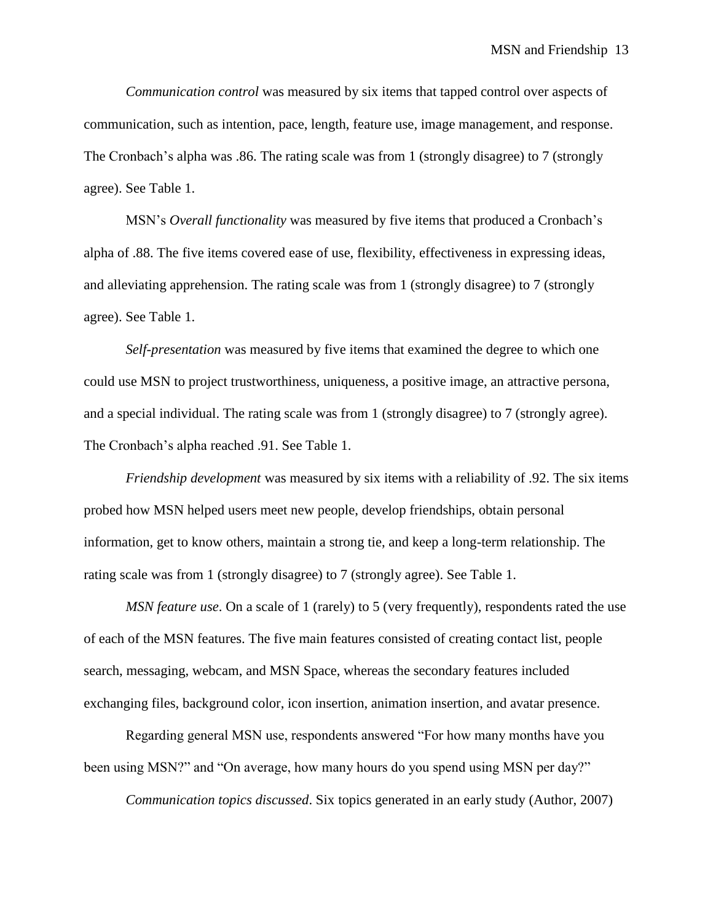*Communication control* was measured by six items that tapped control over aspects of communication, such as intention, pace, length, feature use, image management, and response. The Cronbach's alpha was .86. The rating scale was from 1 (strongly disagree) to 7 (strongly agree). See Table 1.

MSN's *Overall functionality* was measured by five items that produced a Cronbach's alpha of .88. The five items covered ease of use, flexibility, effectiveness in expressing ideas, and alleviating apprehension. The rating scale was from 1 (strongly disagree) to 7 (strongly agree). See Table 1.

*Self-presentation* was measured by five items that examined the degree to which one could use MSN to project trustworthiness, uniqueness, a positive image, an attractive persona, and a special individual. The rating scale was from 1 (strongly disagree) to 7 (strongly agree). The Cronbach's alpha reached .91. See Table 1.

*Friendship development* was measured by six items with a reliability of .92. The six items probed how MSN helped users meet new people, develop friendships, obtain personal information, get to know others, maintain a strong tie, and keep a long-term relationship. The rating scale was from 1 (strongly disagree) to 7 (strongly agree). See Table 1.

*MSN feature use*. On a scale of 1 (rarely) to 5 (very frequently), respondents rated the use of each of the MSN features. The five main features consisted of creating contact list, people search, messaging, webcam, and MSN Space, whereas the secondary features included exchanging files, background color, icon insertion, animation insertion, and avatar presence.

Regarding general MSN use, respondents answered "For how many months have you been using MSN?" and "On average, how many hours do you spend using MSN per day?"

*Communication topics discussed*. Six topics generated in an early study (Author, 2007)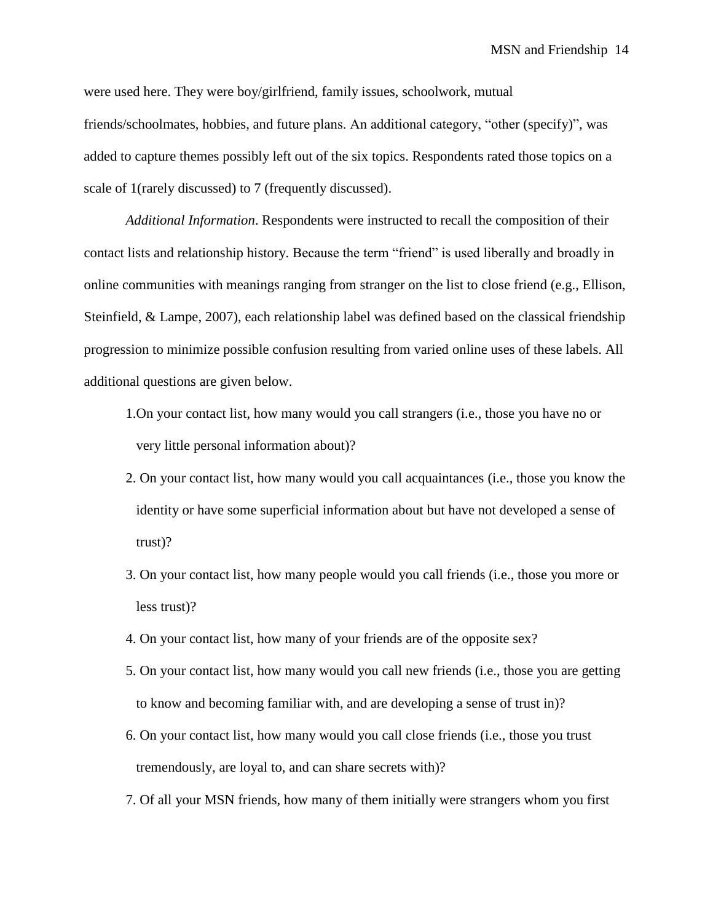were used here. They were boy/girlfriend, family issues, schoolwork, mutual friends/schoolmates, hobbies, and future plans. An additional category, "other (specify)", was added to capture themes possibly left out of the six topics. Respondents rated those topics on a scale of 1(rarely discussed) to 7 (frequently discussed).

*Additional Information*. Respondents were instructed to recall the composition of their contact lists and relationship history. Because the term "friend" is used liberally and broadly in online communities with meanings ranging from stranger on the list to close friend (e.g., Ellison, Steinfield, & Lampe, 2007), each relationship label was defined based on the classical friendship progression to minimize possible confusion resulting from varied online uses of these labels. All additional questions are given below.

- 1.On your contact list, how many would you call strangers (i.e., those you have no or very little personal information about)?
- 2. On your contact list, how many would you call acquaintances (i.e., those you know the identity or have some superficial information about but have not developed a sense of trust)?
- 3. On your contact list, how many people would you call friends (i.e., those you more or less trust)?
- 4. On your contact list, how many of your friends are of the opposite sex?
- 5. On your contact list, how many would you call new friends (i.e., those you are getting to know and becoming familiar with, and are developing a sense of trust in)?
- 6. On your contact list, how many would you call close friends (i.e., those you trust tremendously, are loyal to, and can share secrets with)?
- 7. Of all your MSN friends, how many of them initially were strangers whom you first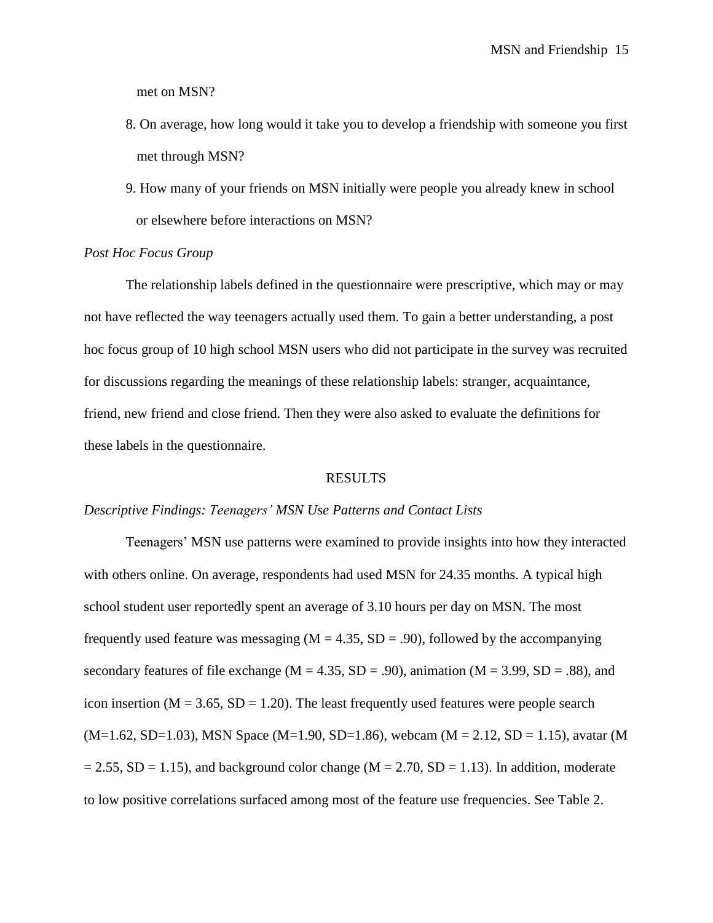met on MSN?

- 8. On average, how long would it take you to develop a friendship with someone you first met through MSN?
- 9. How many of your friends on MSN initially were people you already knew in school or elsewhere before interactions on MSN?

#### *Post Hoc Focus Group*

The relationship labels defined in the questionnaire were prescriptive, which may or may not have reflected the way teenagers actually used them. To gain a better understanding, a post hoc focus group of 10 high school MSN users who did not participate in the survey was recruited for discussions regarding the meanings of these relationship labels: stranger, acquaintance, friend, new friend and close friend. Then they were also asked to evaluate the definitions for these labels in the questionnaire.

#### RESULTS

#### *Descriptive Findings: Teenagers' MSN Use Patterns and Contact Lists*

Teenagers' MSN use patterns were examined to provide insights into how they interacted with others online. On average, respondents had used MSN for 24.35 months. A typical high school student user reportedly spent an average of 3.10 hours per day on MSN. The most frequently used feature was messaging ( $M = 4.35$ ,  $SD = .90$ ), followed by the accompanying secondary features of file exchange ( $M = 4.35$ ,  $SD = .90$ ), animation ( $M = 3.99$ ,  $SD = .88$ ), and icon insertion ( $M = 3.65$ ,  $SD = 1.20$ ). The least frequently used features were people search  $(M=1.62, SD=1.03)$ , MSN Space  $(M=1.90, SD=1.86)$ , webcam  $(M=2.12, SD=1.15)$ , avatar  $(M=1.90, SD=1.86)$  $= 2.55$ , SD = 1.15), and background color change (M = 2.70, SD = 1.13). In addition, moderate to low positive correlations surfaced among most of the feature use frequencies. See Table 2.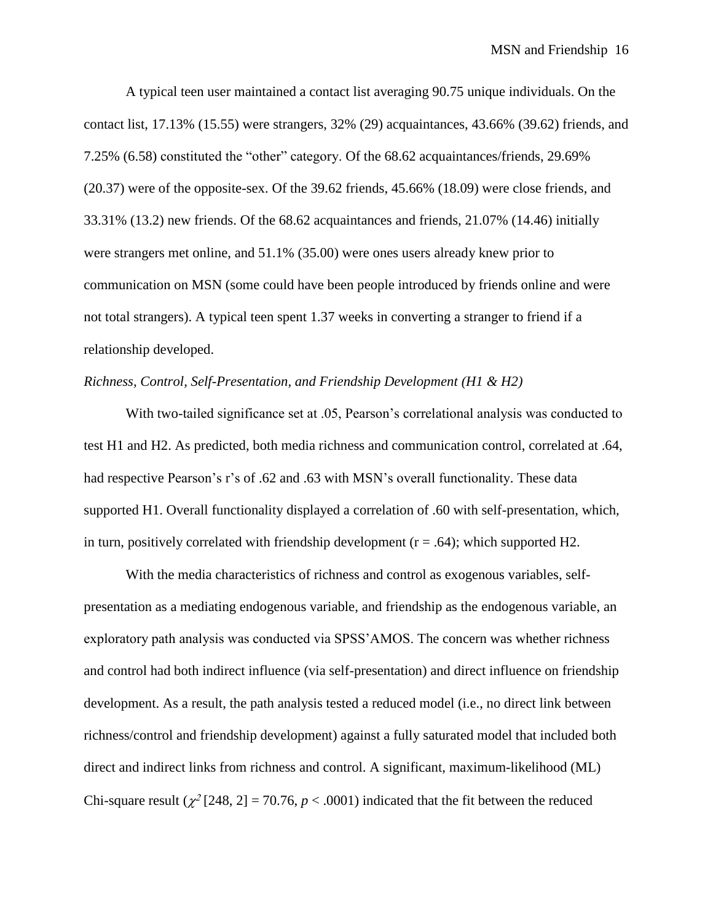A typical teen user maintained a contact list averaging 90.75 unique individuals. On the contact list, 17.13% (15.55) were strangers, 32% (29) acquaintances, 43.66% (39.62) friends, and 7.25% (6.58) constituted the "other" category. Of the 68.62 acquaintances/friends, 29.69% (20.37) were of the opposite-sex. Of the 39.62 friends, 45.66% (18.09) were close friends, and 33.31% (13.2) new friends. Of the 68.62 acquaintances and friends, 21.07% (14.46) initially were strangers met online, and 51.1% (35.00) were ones users already knew prior to communication on MSN (some could have been people introduced by friends online and were not total strangers). A typical teen spent 1.37 weeks in converting a stranger to friend if a relationship developed.

### *Richness, Control, Self-Presentation, and Friendship Development (H1 & H2)*

With two-tailed significance set at .05, Pearson's correlational analysis was conducted to test H1 and H2. As predicted, both media richness and communication control, correlated at .64, had respective Pearson's r's of .62 and .63 with MSN's overall functionality. These data supported H1. Overall functionality displayed a correlation of .60 with self-presentation, which, in turn, positively correlated with friendship development  $(r = .64)$ ; which supported H2.

With the media characteristics of richness and control as exogenous variables, selfpresentation as a mediating endogenous variable, and friendship as the endogenous variable, an exploratory path analysis was conducted via SPSS'AMOS. The concern was whether richness and control had both indirect influence (via self-presentation) and direct influence on friendship development. As a result, the path analysis tested a reduced model (i.e., no direct link between richness/control and friendship development) against a fully saturated model that included both direct and indirect links from richness and control. A significant, maximum-likelihood (ML) Chi-square result  $(\chi^2$  [248, 2] = 70.76,  $p < .0001$ ) indicated that the fit between the reduced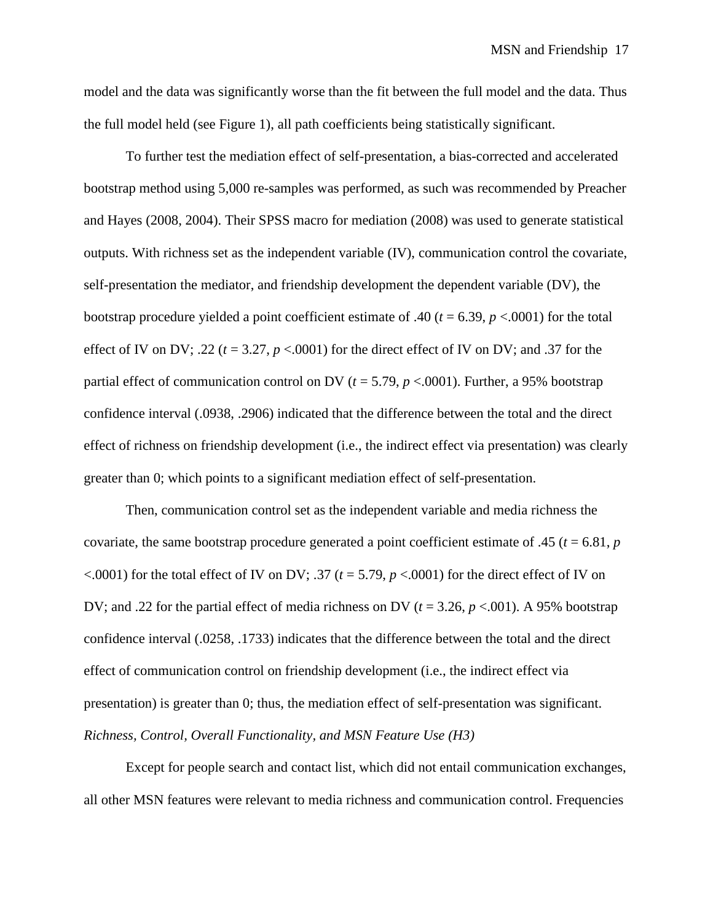model and the data was significantly worse than the fit between the full model and the data. Thus the full model held (see Figure 1), all path coefficients being statistically significant.

To further test the mediation effect of self-presentation, a bias-corrected and accelerated bootstrap method using 5,000 re-samples was performed, as such was recommended by Preacher and Hayes (2008, 2004). Their SPSS macro for mediation (2008) was used to generate statistical outputs. With richness set as the independent variable (IV), communication control the covariate, self-presentation the mediator, and friendship development the dependent variable (DV), the bootstrap procedure yielded a point coefficient estimate of .40 ( $t = 6.39$ ,  $p < .0001$ ) for the total effect of IV on DV; .22  $(t = 3.27, p < .0001)$  for the direct effect of IV on DV; and .37 for the partial effect of communication control on DV ( $t = 5.79$ ,  $p < .0001$ ). Further, a 95% bootstrap confidence interval (.0938, .2906) indicated that the difference between the total and the direct effect of richness on friendship development (i.e., the indirect effect via presentation) was clearly greater than 0; which points to a significant mediation effect of self-presentation.

Then, communication control set as the independent variable and media richness the covariate, the same bootstrap procedure generated a point coefficient estimate of .45 ( $t = 6.81$ ,  $p$ )  $\leq$ .0001) for the total effect of IV on DV; .37 ( $t = 5.79$ ,  $p \leq$ .0001) for the direct effect of IV on DV; and .22 for the partial effect of media richness on DV ( $t = 3.26$ ,  $p < .001$ ). A 95% bootstrap confidence interval (.0258, .1733) indicates that the difference between the total and the direct effect of communication control on friendship development (i.e., the indirect effect via presentation) is greater than 0; thus, the mediation effect of self-presentation was significant. *Richness, Control, Overall Functionality, and MSN Feature Use (H3)*

Except for people search and contact list, which did not entail communication exchanges, all other MSN features were relevant to media richness and communication control. Frequencies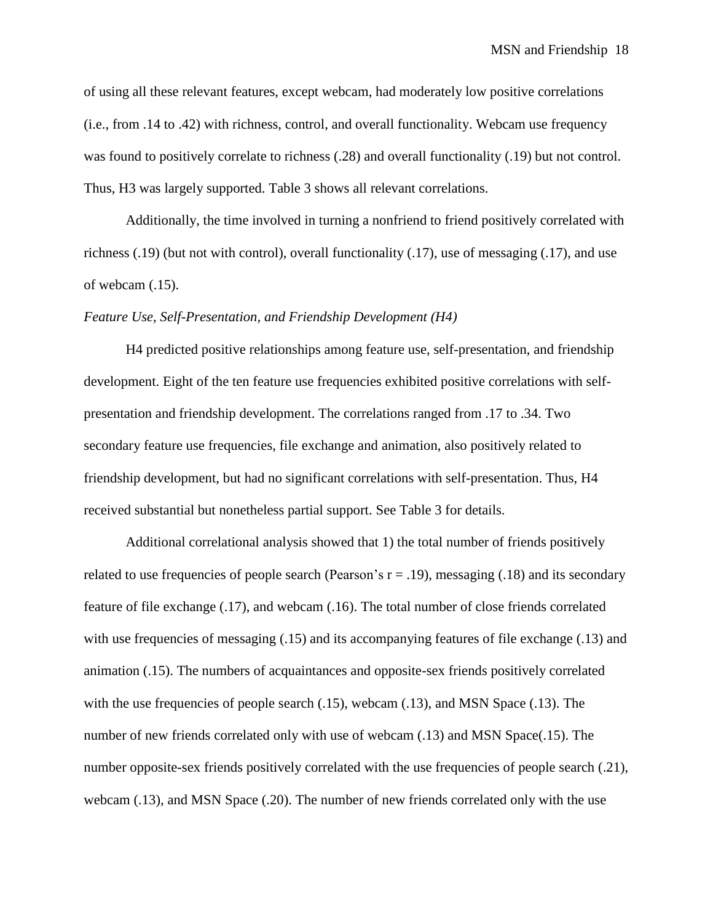of using all these relevant features, except webcam, had moderately low positive correlations (i.e., from .14 to .42) with richness, control, and overall functionality. Webcam use frequency was found to positively correlate to richness (.28) and overall functionality (.19) but not control. Thus, H3 was largely supported. Table 3 shows all relevant correlations.

Additionally, the time involved in turning a nonfriend to friend positively correlated with richness (.19) (but not with control), overall functionality (.17), use of messaging (.17), and use of webcam (.15).

#### *Feature Use, Self-Presentation, and Friendship Development (H4)*

H4 predicted positive relationships among feature use, self-presentation, and friendship development. Eight of the ten feature use frequencies exhibited positive correlations with selfpresentation and friendship development. The correlations ranged from .17 to .34. Two secondary feature use frequencies, file exchange and animation, also positively related to friendship development, but had no significant correlations with self-presentation. Thus, H4 received substantial but nonetheless partial support. See Table 3 for details.

Additional correlational analysis showed that 1) the total number of friends positively related to use frequencies of people search (Pearson's  $r = .19$ ), messaging (.18) and its secondary feature of file exchange (.17), and webcam (.16). The total number of close friends correlated with use frequencies of messaging (.15) and its accompanying features of file exchange (.13) and animation (.15). The numbers of acquaintances and opposite-sex friends positively correlated with the use frequencies of people search (.15), webcam (.13), and MSN Space (.13). The number of new friends correlated only with use of webcam (.13) and MSN Space(.15). The number opposite-sex friends positively correlated with the use frequencies of people search (.21), webcam (.13), and MSN Space (.20). The number of new friends correlated only with the use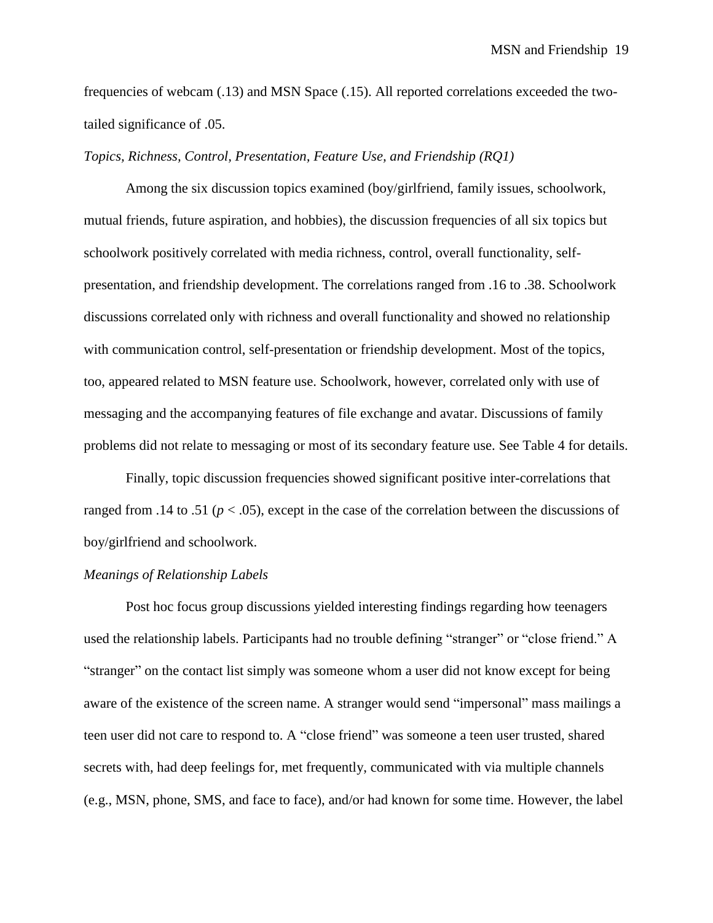frequencies of webcam (.13) and MSN Space (.15). All reported correlations exceeded the twotailed significance of .05.

#### *Topics, Richness, Control, Presentation, Feature Use, and Friendship (RQ1)*

Among the six discussion topics examined (boy/girlfriend, family issues, schoolwork, mutual friends, future aspiration, and hobbies), the discussion frequencies of all six topics but schoolwork positively correlated with media richness, control, overall functionality, selfpresentation, and friendship development. The correlations ranged from .16 to .38. Schoolwork discussions correlated only with richness and overall functionality and showed no relationship with communication control, self-presentation or friendship development. Most of the topics, too, appeared related to MSN feature use. Schoolwork, however, correlated only with use of messaging and the accompanying features of file exchange and avatar. Discussions of family problems did not relate to messaging or most of its secondary feature use. See Table 4 for details.

Finally, topic discussion frequencies showed significant positive inter-correlations that ranged from .14 to .51 (*p* < .05), except in the case of the correlation between the discussions of boy/girlfriend and schoolwork.

#### *Meanings of Relationship Labels*

Post hoc focus group discussions yielded interesting findings regarding how teenagers used the relationship labels. Participants had no trouble defining "stranger" or "close friend." A "stranger" on the contact list simply was someone whom a user did not know except for being aware of the existence of the screen name. A stranger would send "impersonal" mass mailings a teen user did not care to respond to. A "close friend" was someone a teen user trusted, shared secrets with, had deep feelings for, met frequently, communicated with via multiple channels (e.g., MSN, phone, SMS, and face to face), and/or had known for some time. However, the label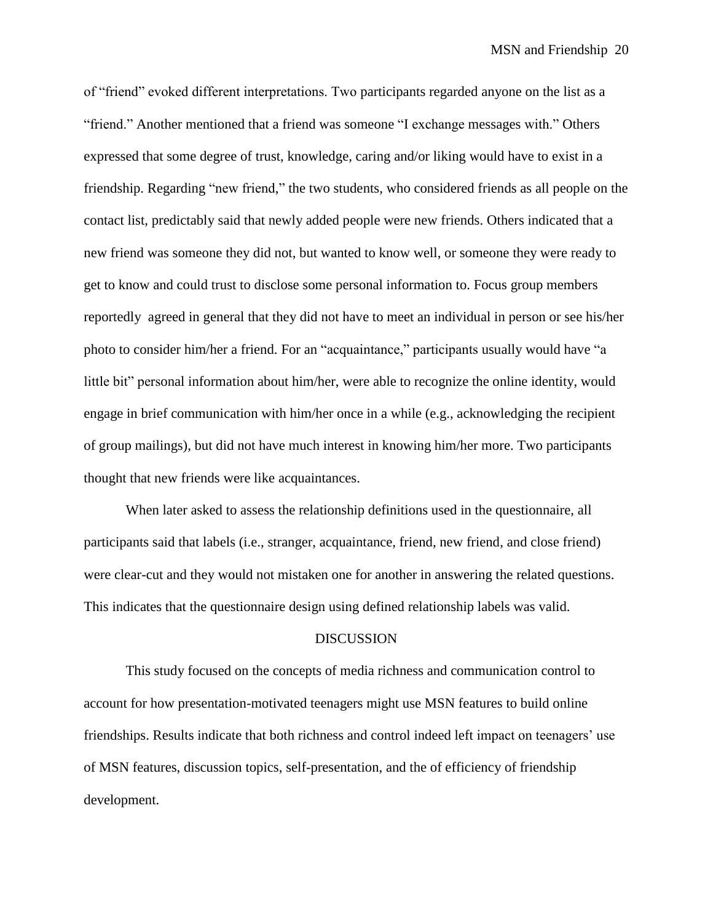of "friend" evoked different interpretations. Two participants regarded anyone on the list as a "friend." Another mentioned that a friend was someone "I exchange messages with." Others expressed that some degree of trust, knowledge, caring and/or liking would have to exist in a friendship. Regarding "new friend," the two students, who considered friends as all people on the contact list, predictably said that newly added people were new friends. Others indicated that a new friend was someone they did not, but wanted to know well, or someone they were ready to get to know and could trust to disclose some personal information to. Focus group members reportedly agreed in general that they did not have to meet an individual in person or see his/her photo to consider him/her a friend. For an "acquaintance," participants usually would have "a little bit" personal information about him/her, were able to recognize the online identity, would engage in brief communication with him/her once in a while (e.g., acknowledging the recipient of group mailings), but did not have much interest in knowing him/her more. Two participants thought that new friends were like acquaintances.

When later asked to assess the relationship definitions used in the questionnaire, all participants said that labels (i.e., stranger, acquaintance, friend, new friend, and close friend) were clear-cut and they would not mistaken one for another in answering the related questions. This indicates that the questionnaire design using defined relationship labels was valid.

#### DISCUSSION

This study focused on the concepts of media richness and communication control to account for how presentation-motivated teenagers might use MSN features to build online friendships. Results indicate that both richness and control indeed left impact on teenagers' use of MSN features, discussion topics, self-presentation, and the of efficiency of friendship development.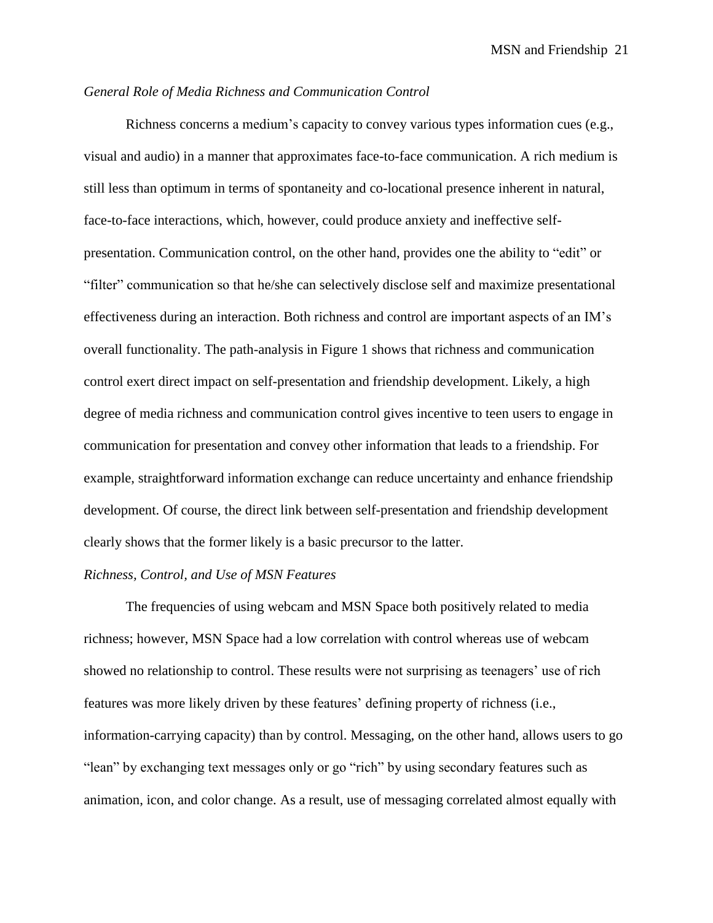#### *General Role of Media Richness and Communication Control*

Richness concerns a medium's capacity to convey various types information cues (e.g., visual and audio) in a manner that approximates face-to-face communication. A rich medium is still less than optimum in terms of spontaneity and co-locational presence inherent in natural, face-to-face interactions, which, however, could produce anxiety and ineffective selfpresentation. Communication control, on the other hand, provides one the ability to "edit" or "filter" communication so that he/she can selectively disclose self and maximize presentational effectiveness during an interaction. Both richness and control are important aspects of an IM's overall functionality. The path-analysis in Figure 1 shows that richness and communication control exert direct impact on self-presentation and friendship development. Likely, a high degree of media richness and communication control gives incentive to teen users to engage in communication for presentation and convey other information that leads to a friendship. For example, straightforward information exchange can reduce uncertainty and enhance friendship development. Of course, the direct link between self-presentation and friendship development clearly shows that the former likely is a basic precursor to the latter.

#### *Richness, Control, and Use of MSN Features*

The frequencies of using webcam and MSN Space both positively related to media richness; however, MSN Space had a low correlation with control whereas use of webcam showed no relationship to control. These results were not surprising as teenagers' use of rich features was more likely driven by these features' defining property of richness (i.e., information-carrying capacity) than by control. Messaging, on the other hand, allows users to go "lean" by exchanging text messages only or go "rich" by using secondary features such as animation, icon, and color change. As a result, use of messaging correlated almost equally with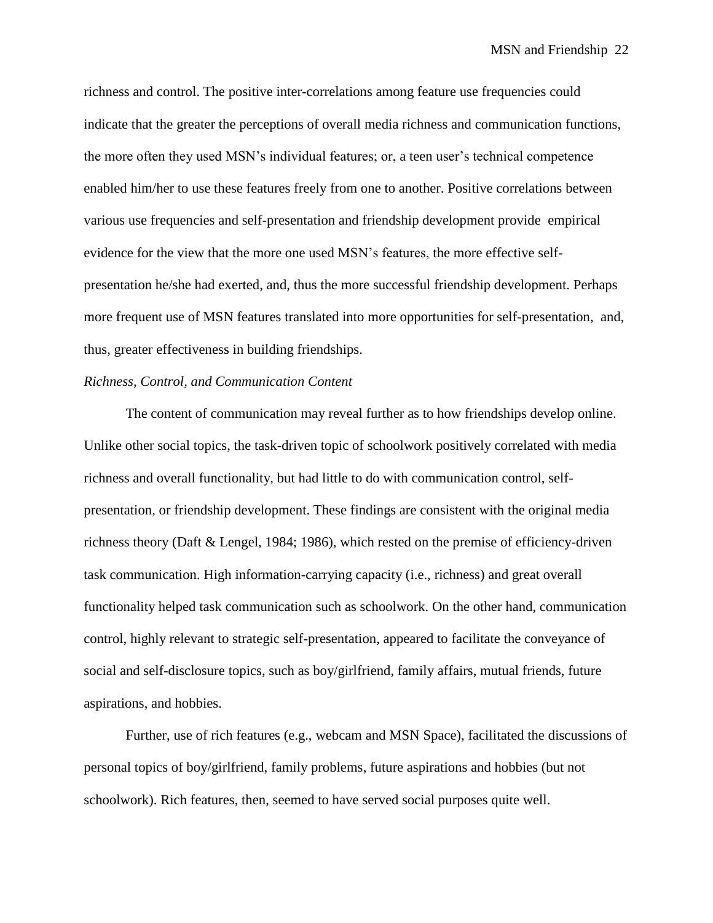richness and control. The positive inter-correlations among feature use frequencies could indicate that the greater the perceptions of overall media richness and communication functions, the more often they used MSN's individual features; or, a teen user's technical competence enabled him/her to use these features freely from one to another. Positive correlations between various use frequencies and self-presentation and friendship development provide empirical evidence for the view that the more one used MSN's features, the more effective selfpresentation he/she had exerted, and, thus the more successful friendship development. Perhaps more frequent use of MSN features translated into more opportunities for self-presentation, and, thus, greater effectiveness in building friendships.

#### *Richness, Control, and Communication Content*

The content of communication may reveal further as to how friendships develop online. Unlike other social topics, the task-driven topic of schoolwork positively correlated with media richness and overall functionality, but had little to do with communication control, selfpresentation, or friendship development. These findings are consistent with the original media richness theory (Daft & Lengel, 1984; 1986), which rested on the premise of efficiency-driven task communication. High information-carrying capacity (i.e., richness) and great overall functionality helped task communication such as schoolwork. On the other hand, communication control, highly relevant to strategic self-presentation, appeared to facilitate the conveyance of social and self-disclosure topics, such as boy/girlfriend, family affairs, mutual friends, future aspirations, and hobbies.

Further, use of rich features (e.g., webcam and MSN Space), facilitated the discussions of personal topics of boy/girlfriend, family problems, future aspirations and hobbies (but not schoolwork). Rich features, then, seemed to have served social purposes quite well.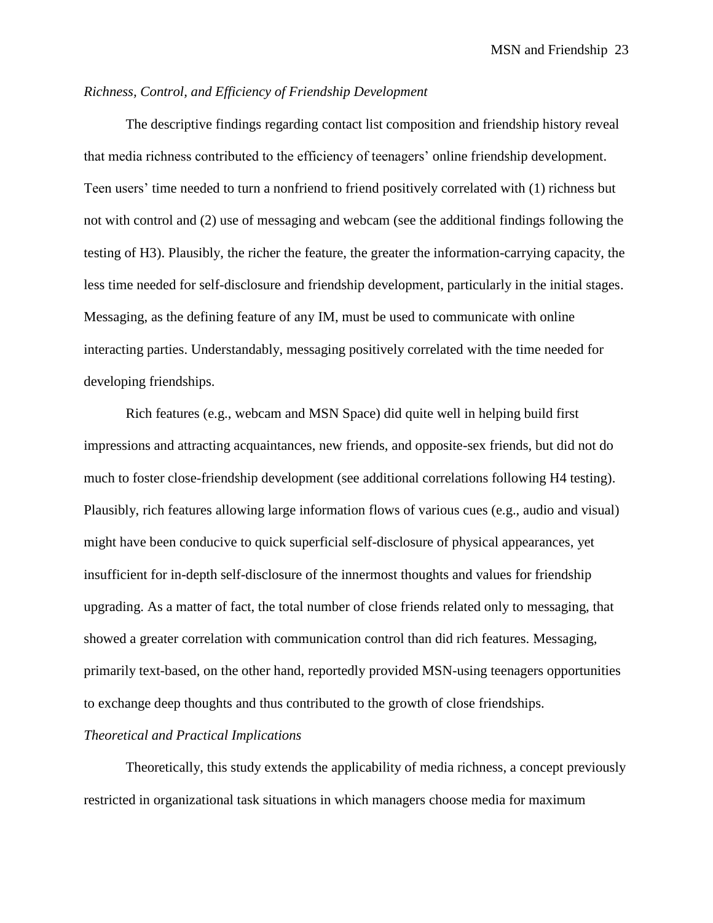#### *Richness, Control, and Efficiency of Friendship Development*

The descriptive findings regarding contact list composition and friendship history reveal that media richness contributed to the efficiency of teenagers' online friendship development. Teen users' time needed to turn a nonfriend to friend positively correlated with (1) richness but not with control and (2) use of messaging and webcam (see the additional findings following the testing of H3). Plausibly, the richer the feature, the greater the information-carrying capacity, the less time needed for self-disclosure and friendship development, particularly in the initial stages. Messaging, as the defining feature of any IM, must be used to communicate with online interacting parties. Understandably, messaging positively correlated with the time needed for developing friendships.

Rich features (e.g., webcam and MSN Space) did quite well in helping build first impressions and attracting acquaintances, new friends, and opposite-sex friends, but did not do much to foster close-friendship development (see additional correlations following H4 testing). Plausibly, rich features allowing large information flows of various cues (e.g., audio and visual) might have been conducive to quick superficial self-disclosure of physical appearances, yet insufficient for in-depth self-disclosure of the innermost thoughts and values for friendship upgrading. As a matter of fact, the total number of close friends related only to messaging, that showed a greater correlation with communication control than did rich features. Messaging, primarily text-based, on the other hand, reportedly provided MSN-using teenagers opportunities to exchange deep thoughts and thus contributed to the growth of close friendships.

### *Theoretical and Practical Implications*

Theoretically, this study extends the applicability of media richness, a concept previously restricted in organizational task situations in which managers choose media for maximum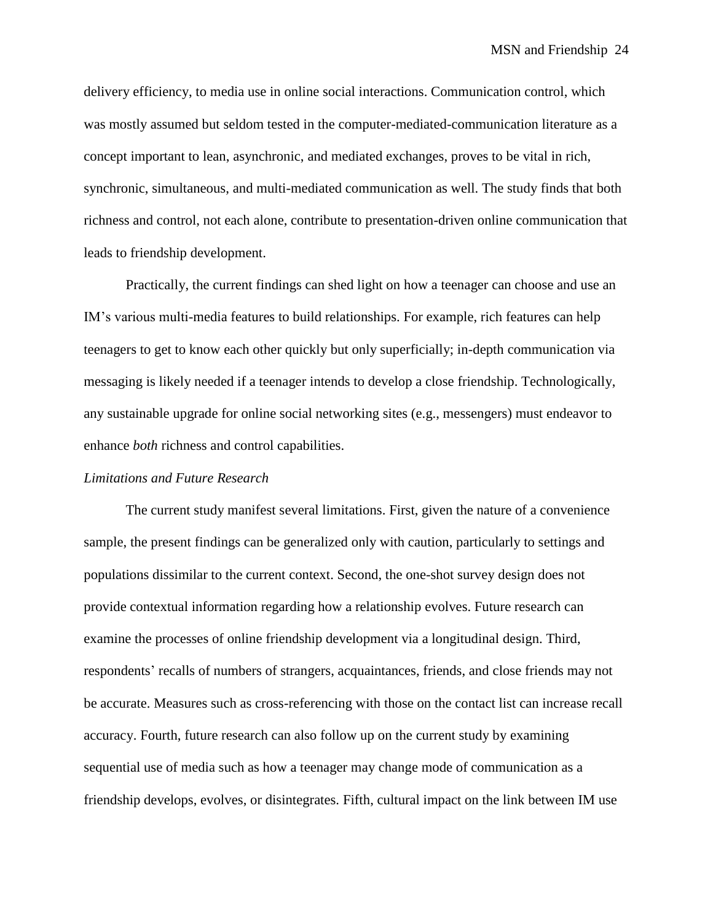delivery efficiency, to media use in online social interactions. Communication control, which was mostly assumed but seldom tested in the computer-mediated-communication literature as a concept important to lean, asynchronic, and mediated exchanges, proves to be vital in rich, synchronic, simultaneous, and multi-mediated communication as well. The study finds that both richness and control, not each alone, contribute to presentation-driven online communication that leads to friendship development.

Practically, the current findings can shed light on how a teenager can choose and use an IM's various multi-media features to build relationships. For example, rich features can help teenagers to get to know each other quickly but only superficially; in-depth communication via messaging is likely needed if a teenager intends to develop a close friendship. Technologically, any sustainable upgrade for online social networking sites (e.g., messengers) must endeavor to enhance *both* richness and control capabilities.

#### *Limitations and Future Research*

The current study manifest several limitations. First, given the nature of a convenience sample, the present findings can be generalized only with caution, particularly to settings and populations dissimilar to the current context. Second, the one-shot survey design does not provide contextual information regarding how a relationship evolves. Future research can examine the processes of online friendship development via a longitudinal design. Third, respondents' recalls of numbers of strangers, acquaintances, friends, and close friends may not be accurate. Measures such as cross-referencing with those on the contact list can increase recall accuracy. Fourth, future research can also follow up on the current study by examining sequential use of media such as how a teenager may change mode of communication as a friendship develops, evolves, or disintegrates. Fifth, cultural impact on the link between IM use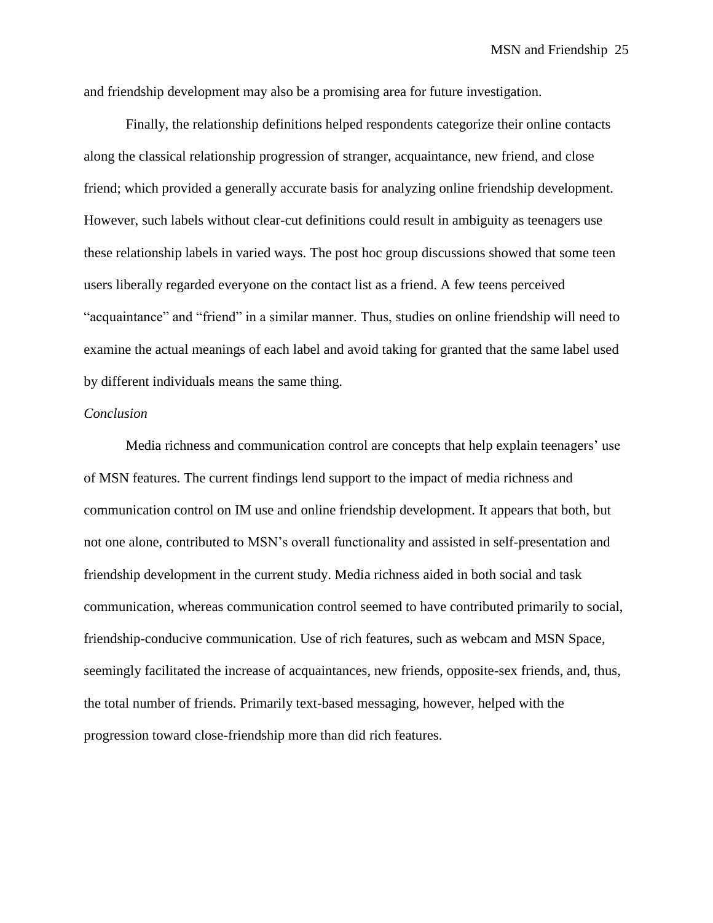and friendship development may also be a promising area for future investigation.

Finally, the relationship definitions helped respondents categorize their online contacts along the classical relationship progression of stranger, acquaintance, new friend, and close friend; which provided a generally accurate basis for analyzing online friendship development. However, such labels without clear-cut definitions could result in ambiguity as teenagers use these relationship labels in varied ways. The post hoc group discussions showed that some teen users liberally regarded everyone on the contact list as a friend. A few teens perceived "acquaintance" and "friend" in a similar manner. Thus, studies on online friendship will need to examine the actual meanings of each label and avoid taking for granted that the same label used by different individuals means the same thing.

#### *Conclusion*

Media richness and communication control are concepts that help explain teenagers' use of MSN features. The current findings lend support to the impact of media richness and communication control on IM use and online friendship development. It appears that both, but not one alone, contributed to MSN's overall functionality and assisted in self-presentation and friendship development in the current study. Media richness aided in both social and task communication, whereas communication control seemed to have contributed primarily to social, friendship-conducive communication. Use of rich features, such as webcam and MSN Space, seemingly facilitated the increase of acquaintances, new friends, opposite-sex friends, and, thus, the total number of friends. Primarily text-based messaging, however, helped with the progression toward close-friendship more than did rich features.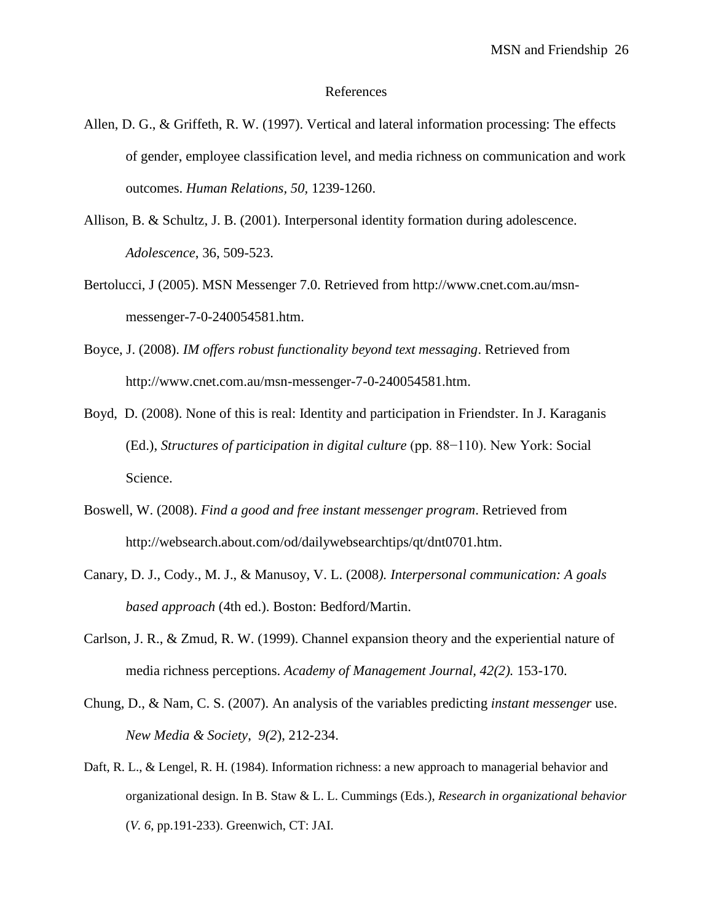#### References

- Allen, D. G., & Griffeth, R. W. (1997). Vertical and lateral information processing: The effects of gender, employee classification level, and media richness on communication and work outcomes. *Human Relations, 50,* 1239-1260.
- Allison, B. & Schultz, J. B. (2001). Interpersonal identity formation during adolescence. *Adolescence*, 36, 509-523.
- Bertolucci, J (2005). MSN Messenger 7.0. Retrieved from http://www.cnet.com.au/msnmessenger-7-0-240054581.htm.
- Boyce, J. (2008). *IM offers robust functionality beyond text messaging*. Retrieved from http://www.cnet.com.au/msn-messenger-7-0-240054581.htm.
- Boyd, D. (2008). None of this is real: Identity and participation in Friendster. In J. Karaganis (Ed.), *Structures of participation in digital culture* (pp. 88−110). New York: Social Science.
- Boswell, W. (2008). *Find a good and free instant messenger program*. Retrieved from http://websearch.about.com/od/dailywebsearchtips/qt/dnt0701.htm.
- Canary, D. J., Cody., M. J., & Manusoy, V. L. (2008*). Interpersonal communication: A goals based approach* (4th ed.). Boston: Bedford/Martin.
- Carlson, J. R., & Zmud, R. W. (1999). Channel expansion theory and the experiential nature of media richness perceptions. *Academy of Management Journal, 42(2).* 153-170.
- Chung, D., & Nam, C. S. (2007). An analysis of the variables predicting *instant messenger* use. *New Media & Society*, *9(2*), 212-234.
- Daft, R. L., & Lengel, R. H. (1984). Information richness: a new approach to managerial behavior and organizational design. In B. Staw & L. L. Cummings (Eds.), *Research in organizational behavior* (*V. 6*, pp.191-233). Greenwich, CT: JAI.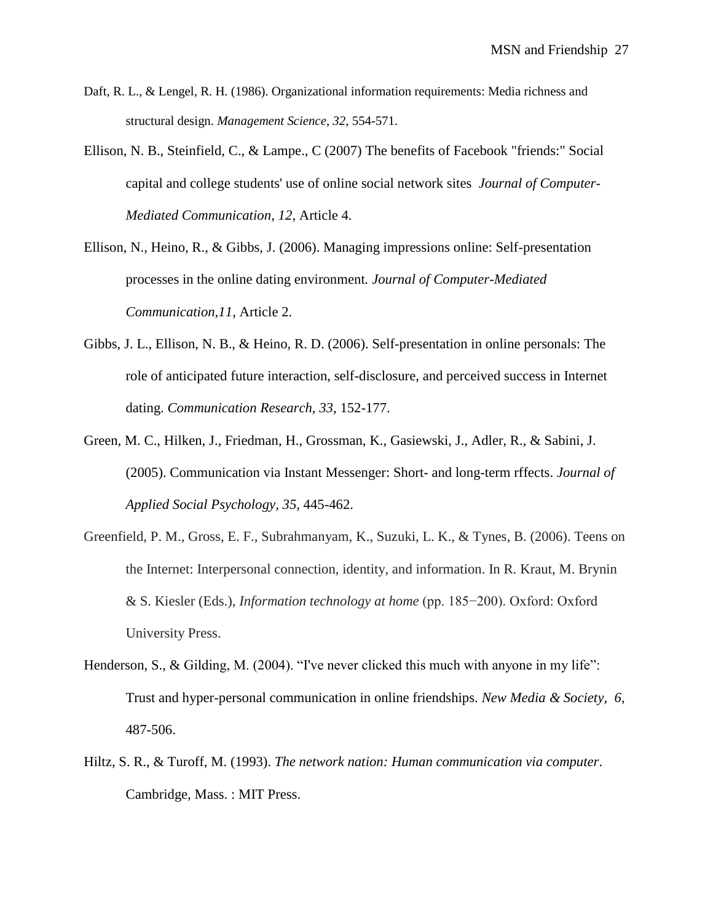- Daft, R. L., & Lengel, R. H. (1986). Organizational information requirements: Media richness and structural design. *Management Science*, *32*, 554-571.
- Ellison, N. B., Steinfield, C., & Lampe., C (2007) The benefits of Facebook "friends:" Social capital and college students' use of online social network sites *Journal of Computer-Mediated Communication, 12,* Article 4.
- Ellison, N., Heino, R., & Gibbs, J. (2006). Managing impressions online: Self-presentation processes in the online dating environment*. Journal of Computer-Mediated Communication,11*, Article 2.
- Gibbs, J. L., Ellison, N. B., & Heino, R. D. (2006). Self-presentation in online personals: The role of anticipated future interaction, self-disclosure, and perceived success in Internet dating. *Communication Research, 33*, 152-177.
- Green, M. C., Hilken, J., Friedman, H., Grossman, K., Gasiewski, J., Adler, R., & Sabini, J. (2005). Communication via Instant Messenger: Short- and long-term rffects. *Journal of Applied Social Psychology, 35,* 445-462.
- Greenfield, P. M., Gross, E. F., Subrahmanyam, K., Suzuki, L. K., & Tynes, B. (2006). Teens on the Internet: Interpersonal connection, identity, and information. In R. Kraut, M. Brynin & S. Kiesler (Eds.), *Information technology at home* (pp. 185−200). Oxford: Oxford University Press.
- Henderson, S., & Gilding, M. (2004). "I've never clicked this much with anyone in my life": Trust and hyper-personal communication in online friendships. *New Media & Society, 6,*  487-506.
- Hiltz, S. R., & Turoff, M. (1993). *The network nation: Human communication via computer*. Cambridge, Mass. : MIT Press.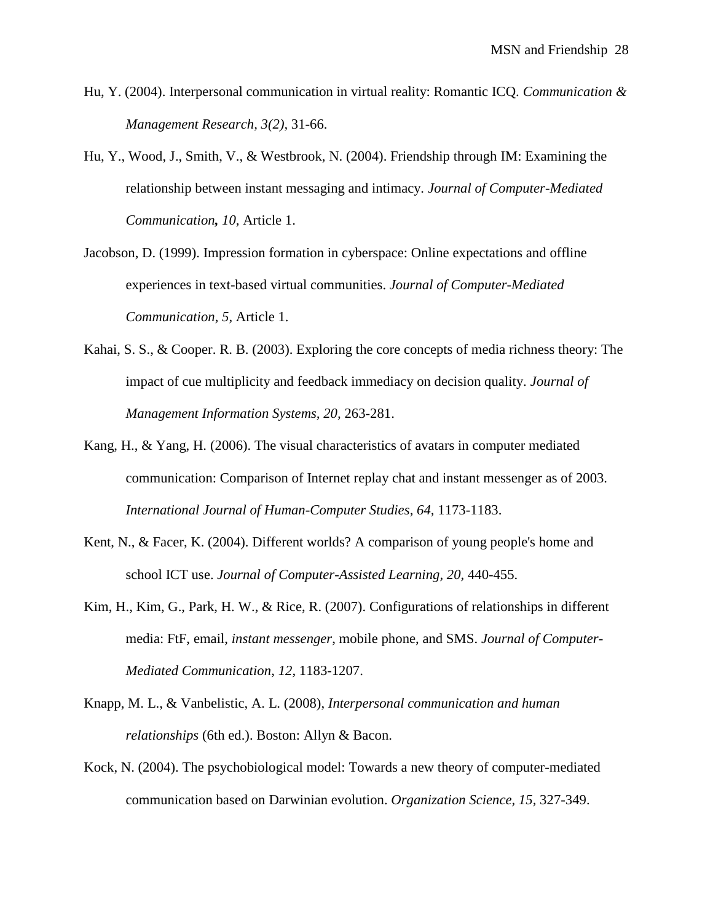- Hu, Y. (2004). Interpersonal communication in virtual reality: Romantic ICQ. *Communication & Management Research, 3(2),* 31-66.
- Hu, Y., Wood, J., Smith, V., & Westbrook, N. (2004). Friendship through IM: Examining the relationship between instant messaging and intimacy. *Journal of Computer-Mediated Communication, 10,* Article 1.
- Jacobson, D. (1999). Impression formation in cyberspace: Online expectations and offline experiences in text-based virtual communities. *Journal of Computer-Mediated Communication*, *5*, Article 1.
- Kahai, S. S., & Cooper. R. B. (2003). Exploring the core concepts of media richness theory: The impact of cue multiplicity and feedback immediacy on decision quality. *Journal of Management Information Systems, 20,* 263-281.
- Kang, H., & Yang, H. (2006). The visual characteristics of avatars in computer mediated communication: Comparison of Internet replay chat and instant messenger as of 2003. *International Journal of Human-Computer Studies, 64,* 1173-1183.
- Kent, N., & Facer, K. (2004). Different worlds? A comparison of young people's home and school ICT use. *Journal of Computer-Assisted Learning, 20,* 440-455.
- Kim, H., Kim, G., Park, H. W., & Rice, R. (2007). Configurations of relationships in different media: FtF, email, *instant messenger*, mobile phone, and SMS. *Journal of Computer-Mediated Communication*, *12,* 1183-1207.
- Knapp, M. L., & Vanbelistic, A. L. (2008), *Interpersonal communication and human relationships* (6th ed.). Boston: Allyn & Bacon.
- Kock, N. (2004). The psychobiological model: Towards a new theory of computer-mediated communication based on Darwinian evolution. *Organization Science, 15,* 327-349.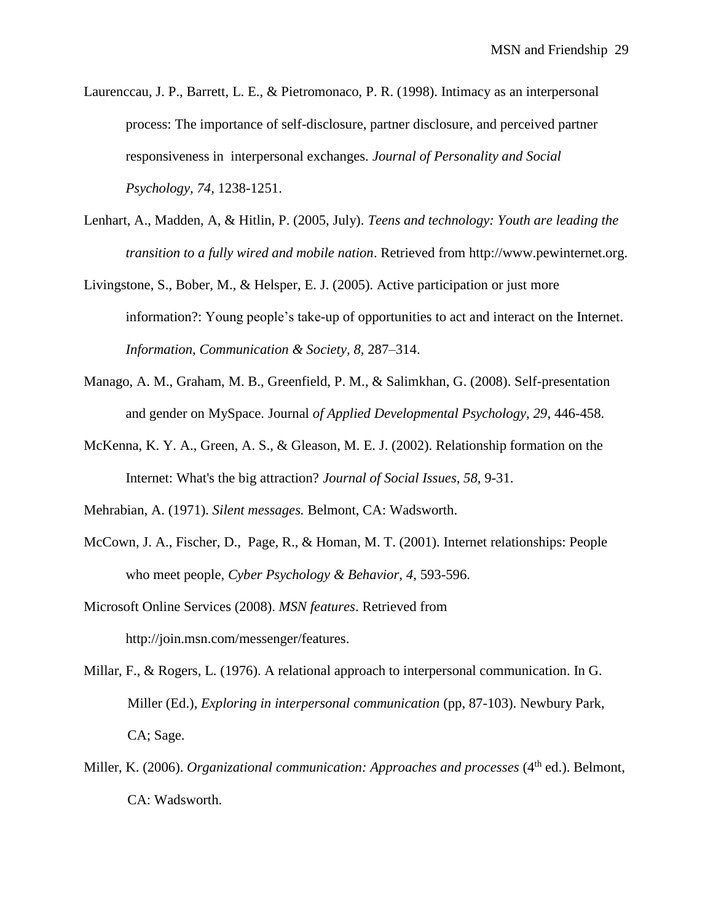- Laurenccau, J. P., Barrett, L. E., & Pietromonaco, P. R. (1998). Intimacy as an interpersonal process: The importance of self-disclosure, partner disclosure, and perceived partner responsiveness in interpersonal exchanges. *Journal of Personality and Social Psychology, 74,* 1238-1251.
- Lenhart, A., Madden, A, & Hitlin, P. (2005, July). *Teens and technology: Youth are leading the transition to a fully wired and mobile nation*. Retrieved from [http://www.pewinternet.org.](http://www.pewinternet.org/)
- Livingstone, S., Bober, M., & Helsper, E. J. (2005). Active participation or just more information?: Young people's take-up of opportunities to act and interact on the Internet. *Information, Communication & Society, 8*, 287–314.
- Manago, A. M., Graham, M. B., Greenfield, P. M., & Salimkhan, G. (2008). Self-presentation and gender on MySpace. Journal *of Applied Developmental Psychology, 29*, 446-458.
- McKenna, K. Y. A., Green, A. S., & Gleason, M. E. J. (2002). Relationship formation on the Internet: What's the big attraction? *Journal of Social Issues, 58,* 9-31.
- Mehrabian, A. (1971). *Silent messages.* Belmont, CA: Wadsworth.
- McCown, J. A., Fischer, D., Page, R., & Homan, M. T. (2001). Internet relationships: People who meet people, *Cyber Psychology & Behavior, 4*, 593-596.
- Microsoft Online Services (2008). *MSN features*. Retrieved from [http://join.msn.com/messenger/features.](http://join.msn.com/messenger/features)
- Millar, F., & Rogers, L. (1976). A relational approach to interpersonal communication. In G. Miller (Ed.), *Exploring in interpersonal communication* (pp, 87-103). Newbury Park, CA; Sage.
- Miller, K. (2006). *Organizational communication: Approaches and processes* (4<sup>th</sup> ed.). Belmont, CA: Wadsworth.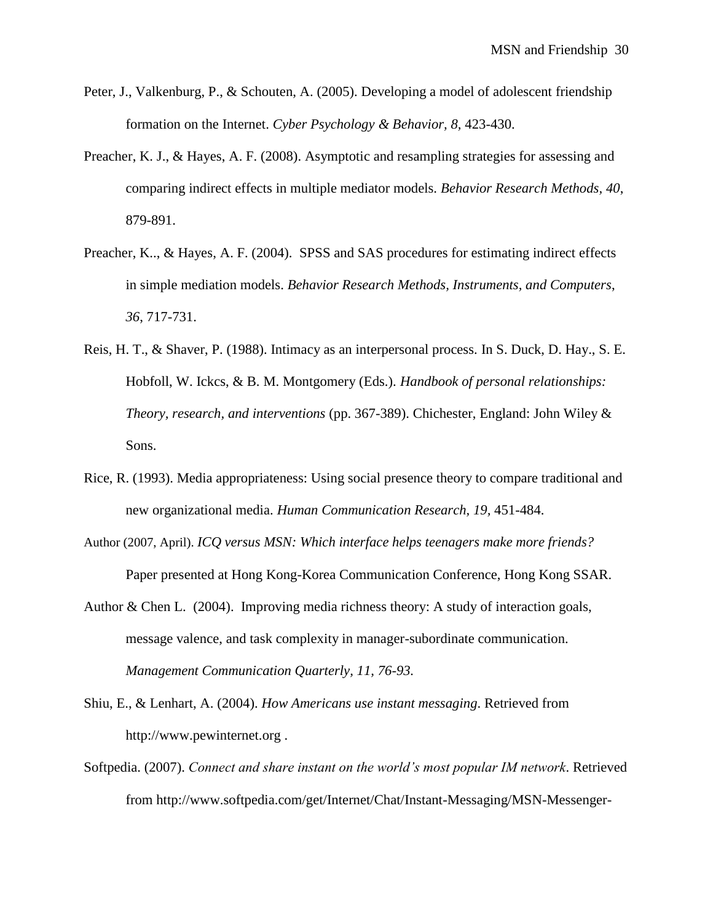- Peter, J., Valkenburg, P., & Schouten, A. (2005). Developing a model of adolescent friendship formation on the Internet. *Cyber Psychology & Behavior, 8,* 423-430.
- Preacher, K. J., & Hayes, A. F. (2008). Asymptotic and resampling strategies for assessing and comparing indirect effects in multiple mediator models. *Behavior Research Methods, 40*, 879-891.
- Preacher, K.., & Hayes, A. F. (2004). SPSS and SAS procedures for estimating indirect effects in simple mediation models. *Behavior Research Methods, Instruments, and Computers*, *36*, 717-731.
- Reis, H. T., & Shaver, P. (1988). Intimacy as an interpersonal process. In S. Duck, D. Hay., S. E. Hobfoll, W. Ickcs, & B. M. Montgomery (Eds.). *Handbook of personal relationships: Theory, research, and interventions* (pp. 367-389). Chichester, England: John Wiley & Sons.
- Rice, R. (1993). Media appropriateness: Using social presence theory to compare traditional and new organizational media. *Human Communication Research, 19,* 451-484.
- Author (2007, April). *ICQ versus MSN: Which interface helps teenagers make more friends?* Paper presented at Hong Kong-Korea Communication Conference, Hong Kong SSAR.
- Author & Chen L. (2004). Improving media richness theory: A study of interaction goals, message valence, and task complexity in manager-subordinate communication. *Management Communication Quarterly, 11, 76-93.*
- Shiu, E., & Lenhart, A. (2004). *How Americans use instant messaging*. Retrieved from [http://www.pewinternet.org](http://www.pewinternet.org/) .
- Softpedia. (2007). *Connect and share instant on the world's most popular IM network*. Retrieved from http://www.softpedia.com/get/Internet/Chat/Instant-Messaging/MSN-Messenger-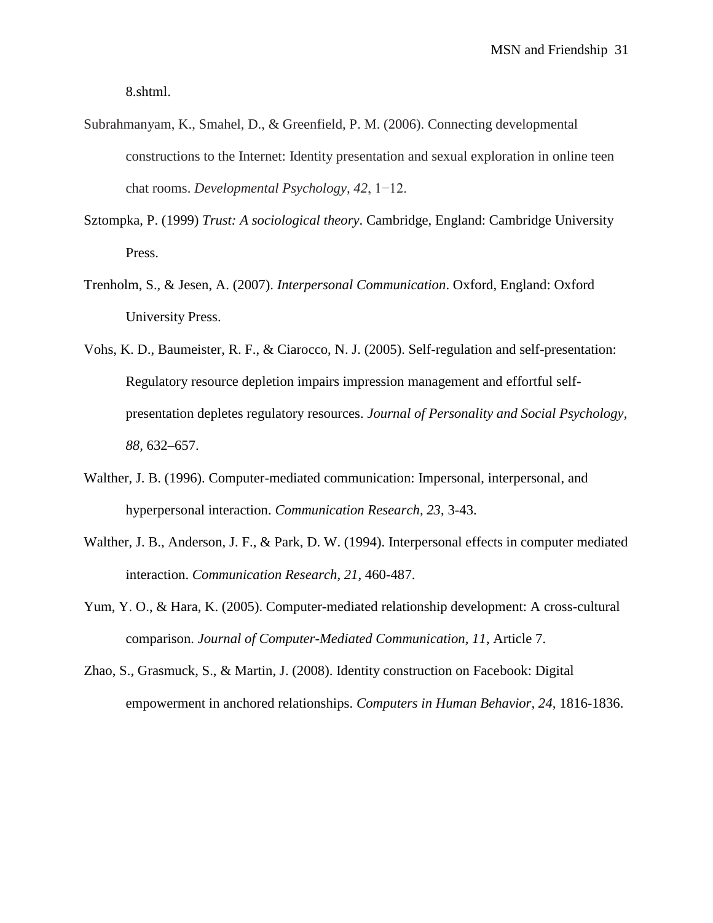8.shtml.

- Subrahmanyam, K., Smahel, D., & Greenfield, P. M. (2006). Connecting developmental constructions to the Internet: Identity presentation and sexual exploration in online teen chat rooms. *Developmental Psychology, 42*, 1−12.
- Sztompka, P. (1999) *Trust: A sociological theory*. Cambridge, England: Cambridge University Press.
- Trenholm, S., & Jesen, A. (2007). *Interpersonal Communication*. Oxford, England: Oxford University Press.
- Vohs, K. D., Baumeister, R. F., & Ciarocco, N. J. (2005). Self-regulation and self-presentation: Regulatory resource depletion impairs impression management and effortful selfpresentation depletes regulatory resources. *Journal of Personality and Social Psychology, 88,* 632–657.
- Walther, J. B. (1996). Computer-mediated communication: Impersonal, interpersonal, and hyperpersonal interaction. *Communication Research, 23*, 3-43.
- Walther, J. B., Anderson, J. F., & Park, D. W. (1994). Interpersonal effects in computer mediated interaction. *Communication Research, 21,* 460-487.
- Yum, Y. O., & Hara, K. (2005). Computer-mediated relationship development: A cross-cultural comparison. *Journal of Computer-Mediated Communication, 11*, Article 7.
- Zhao, S., Grasmuck, S., & Martin, J. (2008). Identity construction on Facebook: Digital empowerment in anchored relationships. *Computers in Human Behavior, 24,* 1816-1836.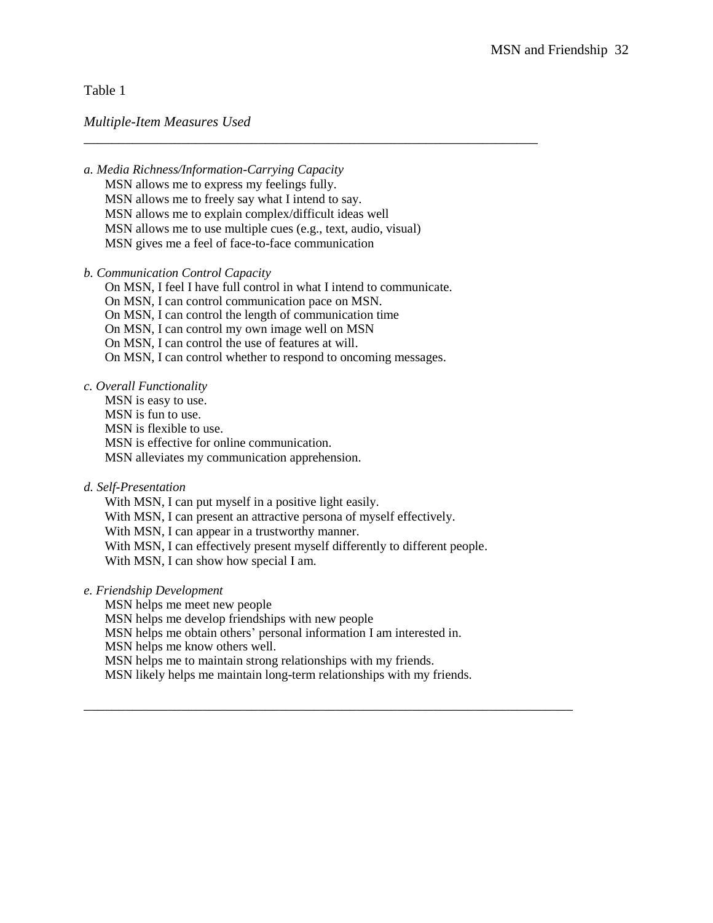*Multiple-Item Measures Used*

*a. Media Richness/Information-Carrying Capacity* MSN allows me to express my feelings fully. MSN allows me to freely say what I intend to say. MSN allows me to explain complex/difficult ideas well MSN allows me to use multiple cues (e.g., text, audio, visual) MSN gives me a feel of face-to-face communication

\_\_\_\_\_\_\_\_\_\_\_\_\_\_\_\_\_\_\_\_\_\_\_\_\_\_\_\_\_\_\_\_\_\_\_\_\_\_\_\_\_\_\_\_\_\_\_\_\_\_\_\_\_\_\_\_\_\_\_\_\_\_\_\_\_

- *b. Communication Control Capacity*
	- On MSN, I feel I have full control in what I intend to communicate. On MSN, I can control communication pace on MSN. On MSN, I can control the length of communication time On MSN, I can control my own image well on MSN On MSN, I can control the use of features at will. On MSN, I can control whether to respond to oncoming messages.
- *c. Overall Functionality* MSN is easy to use.

MSN is fun to use. MSN is flexible to use. MSN is effective for online communication. MSN alleviates my communication apprehension.

*d. Self-Presentation*

With MSN, I can put myself in a positive light easily.

With MSN, I can present an attractive persona of myself effectively.

With MSN, I can appear in a trustworthy manner.

With MSN, I can effectively present myself differently to different people. With MSN, I can show how special I am.

*e. Friendship Development*

MSN helps me meet new people MSN helps me develop friendships with new people MSN helps me obtain others' personal information I am interested in. MSN helps me know others well. MSN helps me to maintain strong relationships with my friends. MSN likely helps me maintain long-term relationships with my friends.

\_\_\_\_\_\_\_\_\_\_\_\_\_\_\_\_\_\_\_\_\_\_\_\_\_\_\_\_\_\_\_\_\_\_\_\_\_\_\_\_\_\_\_\_\_\_\_\_\_\_\_\_\_\_\_\_\_\_\_\_\_\_\_\_\_\_\_\_\_\_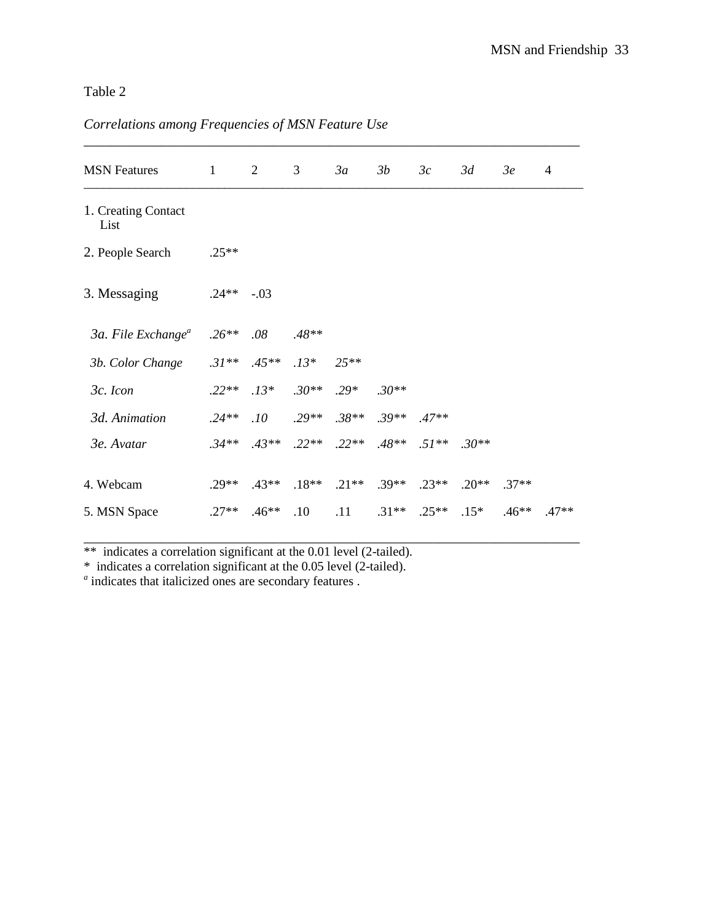## *Correlations among Frequencies of MSN Feature Use*

| <b>MSN</b> Features            | $\mathbf{1}$ | 2       | 3               | 3a                | 3b      | 3c      | 3d      | 3e      | 4       |
|--------------------------------|--------------|---------|-----------------|-------------------|---------|---------|---------|---------|---------|
| 1. Creating Contact<br>List    |              |         |                 |                   |         |         |         |         |         |
| 2. People Search               | $.25**$      |         |                 |                   |         |         |         |         |         |
| 3. Messaging                   | $.24**$      | $-.03$  |                 |                   |         |         |         |         |         |
| 3a. File Exchange <sup>a</sup> | $.26**$      | .08     | $.48**$         |                   |         |         |         |         |         |
| 3b. Color Change               | $.31**$      | $.45**$ | $.13*$          | $25**$            |         |         |         |         |         |
| 3c. Icon                       | $.22**$      | $.13*$  | $.30**$ . 29*   |                   | $.30**$ |         |         |         |         |
| 3d. Animation                  | $.24**$      | .10     |                 | $.29**$ $.38**$   | $.39**$ | $.47**$ |         |         |         |
| 3e. Avatar                     | $.34**$      | $.43**$ | $.22**$ $.22**$ |                   | $.48**$ | $.51**$ | $.30**$ |         |         |
| 4. Webcam                      | $.29**$      | $.43**$ |                 | $.18***$ $.21***$ | $.39**$ | $.23**$ | $.20**$ | $37**$  |         |
| 5. MSN Space                   | $.27**$      | $.46**$ | .10             | .11               | $.31**$ | $.25**$ | $.15*$  | $.46**$ | $.47**$ |

\_\_\_\_\_\_\_\_\_\_\_\_\_\_\_\_\_\_\_\_\_\_\_\_\_\_\_\_\_\_\_\_\_\_\_\_\_\_\_\_\_\_\_\_\_\_\_\_\_\_\_\_\_\_\_\_\_\_\_\_\_\_\_\_\_\_\_\_\_\_\_

\_\_\_\_\_\_\_\_\_\_\_\_\_\_\_\_\_\_\_\_\_\_\_\_\_\_\_\_\_\_\_\_\_\_\_\_\_\_\_\_\_\_\_\_\_\_\_\_\_\_\_\_\_\_\_\_\_\_\_\_\_\_\_\_\_\_\_\_\_\_\_ \*\* indicates a correlation significant at the 0.01 level (2-tailed).

\* indicates a correlation significant at the 0.05 level (2-tailed). *a* indicates that italicized ones are secondary features .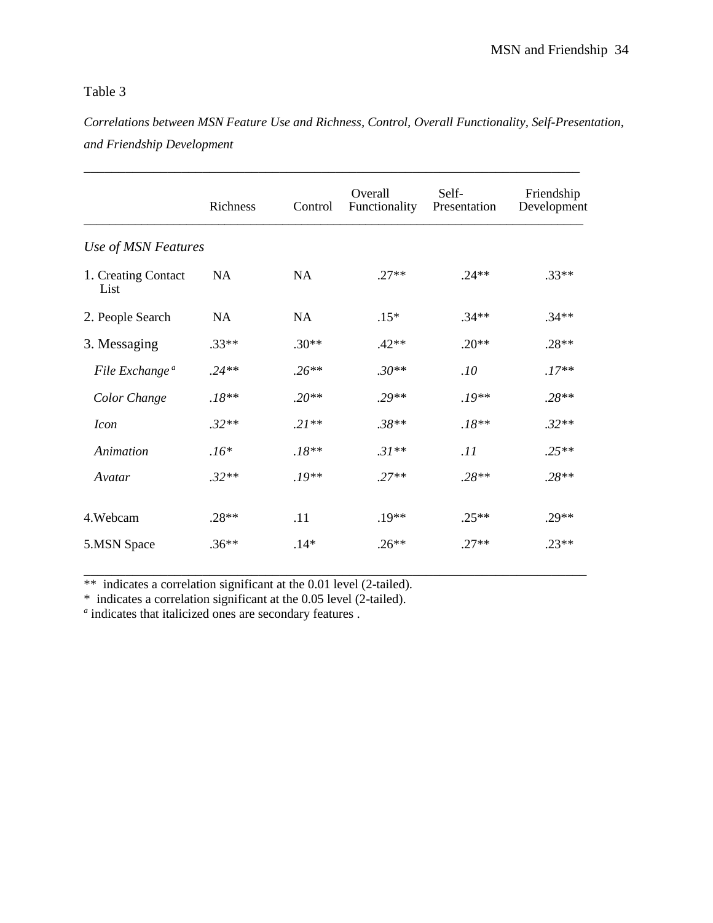*Correlations between MSN Feature Use and Richness, Control, Overall Functionality, Self-Presentation, and Friendship Development*

\_\_\_\_\_\_\_\_\_\_\_\_\_\_\_\_\_\_\_\_\_\_\_\_\_\_\_\_\_\_\_\_\_\_\_\_\_\_\_\_\_\_\_\_\_\_\_\_\_\_\_\_\_\_\_\_\_\_\_\_\_\_\_\_\_\_\_\_\_\_\_

|                             | Richness | Control   | Overall<br>Functionality | Self-<br>Presentation | Friendship<br>Development |
|-----------------------------|----------|-----------|--------------------------|-----------------------|---------------------------|
| Use of MSN Features         |          |           |                          |                       |                           |
| 1. Creating Contact<br>List | NA       | <b>NA</b> | $.27**$                  | $.24**$               | $.33**$                   |
| 2. People Search            | NA       | NA        | $.15*$                   | $.34**$               | $.34**$                   |
| 3. Messaging                | $.33**$  | $.30**$   | $.42**$                  | $.20**$               | $.28**$                   |
| File Exchange <sup>a</sup>  | $.24**$  | $.26**$   | $.30**$                  | .10                   | $.17**$                   |
| Color Change                | $.18**$  | $.20**$   | $.29**$                  | $.19**$               | $.28**$                   |
| <i>Icon</i>                 | $.32**$  | $.21**$   | $.38**$                  | $.18**$               | $.32**$                   |
| Animation                   | $.16*$   | $.18**$   | $.31**$                  | .11                   | $.25**$                   |
| Avatar                      | $.32**$  | $.19**$   | $.27**$                  | $.28**$               | $.28**$                   |
| 4. Webcam                   | $.28**$  | .11       | $.19**$                  | $25**$                | $.29**$                   |
| 5.MSN Space                 | $.36**$  | $.14*$    | $.26**$                  | $.27**$               | $.23**$                   |

\_\_\_\_\_\_\_\_\_\_\_\_\_\_\_\_\_\_\_\_\_\_\_\_\_\_\_\_\_\_\_\_\_\_\_\_\_\_\_\_\_\_\_\_\_\_\_\_\_\_\_\_\_\_\_\_\_\_\_\_\_\_\_\_\_\_\_\_\_\_\_\_ \*\* indicates a correlation significant at the 0.01 level (2-tailed).

\* indicates a correlation significant at the 0.05 level (2-tailed). *a* indicates that italicized ones are secondary features .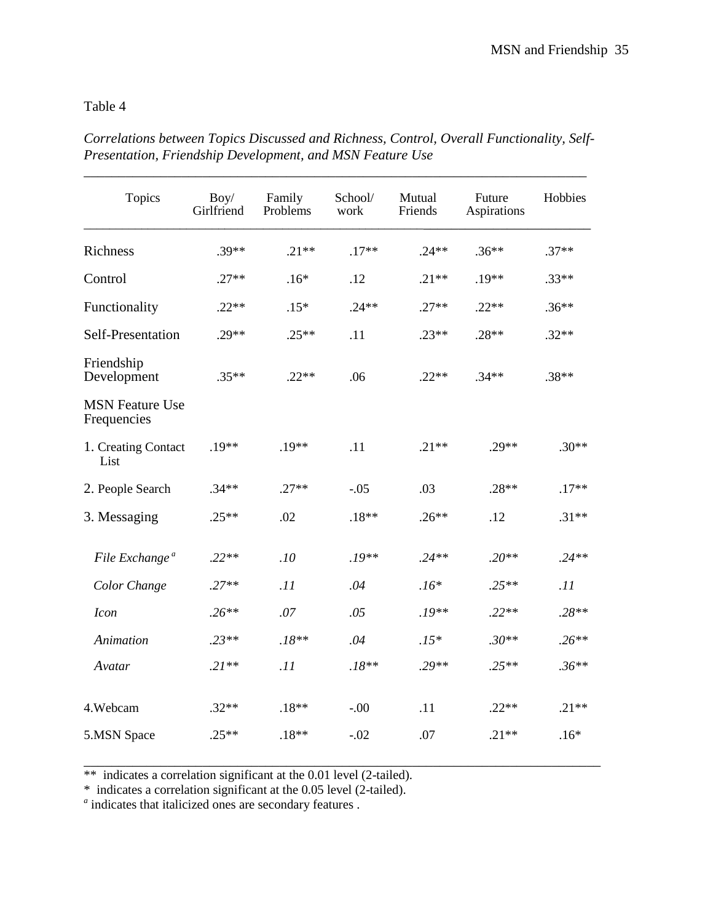| Topics                                | Boy/<br>Girlfriend | Family<br>Problems | School/<br>work | Mutual<br>Friends | Future<br>Aspirations | Hobbies |
|---------------------------------------|--------------------|--------------------|-----------------|-------------------|-----------------------|---------|
| Richness                              | $.39**$            | $.21**$            | $.17**$         | $.24**$           | $.36**$               | $.37**$ |
| Control                               | $.27**$            | $.16*$             | .12             | $.21**$           | $.19**$               | $.33**$ |
| Functionality                         | $.22**$            | $.15*$             | $.24**$         | $.27**$           | $.22**$               | $.36**$ |
| Self-Presentation                     | $.29**$            | $.25**$            | .11             | $.23**$           | $.28**$               | $.32**$ |
| Friendship<br>Development             | $.35**$            | $.22**$            | .06             | $.22**$           | $.34**$               | $.38**$ |
| <b>MSN Feature Use</b><br>Frequencies |                    |                    |                 |                   |                       |         |
| 1. Creating Contact<br>List           | $.19**$            | $.19**$            | .11             | $.21**$           | $.29**$               | $.30**$ |
| 2. People Search                      | $.34**$            | $.27**$            | $-.05$          | .03               | $.28**$               | $.17**$ |
| 3. Messaging                          | $.25**$            | .02                | $.18**$         | $.26**$           | .12                   | $.31**$ |
| File Exchange <sup>a</sup>            | $.22**$            | .10                | $.19**$         | $.24**$           | $.20**$               | $.24**$ |
| Color Change                          | $.27**$            | .11                | .04             | $.16*$            | $.25**$               | .11     |
| <b>Icon</b>                           | $.26**$            | .07                | .05             | $.19**$           | $.22**$               | $.28**$ |
| Animation                             | $.23**$            | $.18**$            | .04             | $.15*$            | $.30**$               | $.26**$ |
| Avatar                                | $.21**$            | .11                | $.18**$         | $.29**$           | $.25**$               | $.36**$ |
| 4. Webcam                             | $.32**$            | $.18**$            | $-.00$          | .11               | $.22**$               | $.21**$ |
| 5.MSN Space                           | $.25**$            | $.18**$            | $-.02$          | .07               | $.21**$               | $.16*$  |

\_\_\_\_\_\_\_\_\_\_\_\_\_\_\_\_\_\_\_\_\_\_\_\_\_\_\_\_\_\_\_\_\_\_\_\_\_\_\_\_\_\_\_\_\_\_\_\_\_\_\_\_\_\_\_\_\_\_\_\_\_\_\_\_\_\_\_\_\_\_\_\_\_\_

*Correlations between Topics Discussed and Richness, Control, Overall Functionality, Self-Presentation, Friendship Development, and MSN Feature Use*

\_\_\_\_\_\_\_\_\_\_\_\_\_\_\_\_\_\_\_\_\_\_\_\_\_\_\_\_\_\_\_\_\_\_\_\_\_\_\_\_\_\_\_\_\_\_\_\_\_\_\_\_\_\_\_\_\_\_\_\_\_\_\_\_\_\_\_\_\_\_\_\_

\*\* indicates a correlation significant at the 0.01 level (2-tailed).

\* indicates a correlation significant at the 0.05 level (2-tailed). *a* indicates that italicized ones are secondary features .